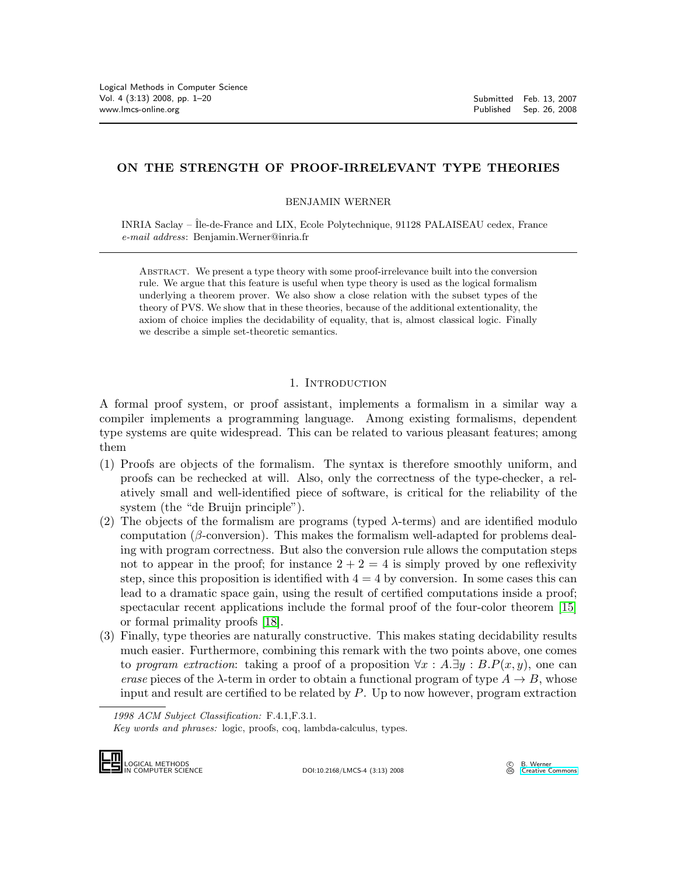# **ON THE STRENGTH OF PROOF-IRRELEVANT TYPE THEORIES**

BENJAMIN WERNER

INRIA Saclay – Île-de-France and LIX, Ecole Polytechnique, 91128 PALAISEAU cedex, France *e-mail address*: Benjamin.Werner@inria.fr

Abstract. We present a type theory with some proof-irrelevance built into the conversion rule. We argue that this feature is useful when type theory is used as the logical formalism underlying a theorem prover. We also show a close relation with the subset types of the theory of PVS. We show that in these theories, because of the additional extentionality, the axiom of choice implies the decidability of equality, that is, almost classical logic. Finally we describe a simple set-theoretic semantics.

# 1. INTRODUCTION

A formal proof system, or proof assistant, implements a formalism in a similar way a compiler implements a programming language. Among existing formalisms, dependent type systems are quite widespread. This can be related to various pleasant features; among them

- (1) Proofs are objects of the formalism. The syntax is therefore smoothly uniform, and proofs can be rechecked at will. Also, only the correctness of the type-checker, a relatively small and well-identified piece of software, is critical for the reliability of the system (the "de Bruijn principle").
- <span id="page-0-0"></span>(2) The objects of the formalism are programs (typed  $\lambda$ -terms) and are identified modulo computation ( $\beta$ -conversion). This makes the formalism well-adapted for problems dealing with program correctness. But also the conversion rule allows the computation steps not to appear in the proof; for instance  $2 + 2 = 4$  is simply proved by one reflexivity step, since this proposition is identified with  $4 = 4$  by conversion. In some cases this can lead to a dramatic space gain, using the result of certified computations inside a proof; spectacular recent applications include the formal proof of the four-color theorem [\[15\]](#page-18-0) or formal primality proofs [\[18\]](#page-18-1).
- (3) Finally, type theories are naturally constructive. This makes stating decidability results much easier. Furthermore, combining this remark with the two points above, one comes to *program extraction*: taking a proof of a proposition  $\forall x : A.\exists y : B.P(x, y)$ , one can *erase* pieces of the  $\lambda$ -term in order to obtain a functional program of type  $A \to B$ , whose input and result are certified to be related by  $P$ . Up to now however, program extraction

*<sup>1998</sup> ACM Subject Classification:* F.4.1,F.3.1.

*Key words and phrases:* logic, proofs, coq, lambda-calculus, types.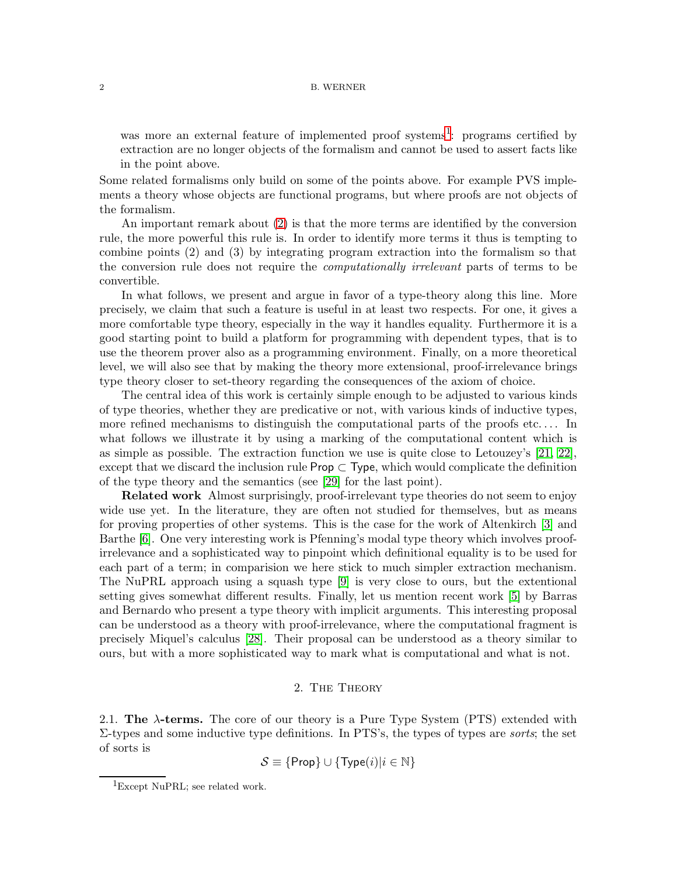was more an external feature of implemented proof systems<sup>[1](#page-1-0)</sup>: programs certified by extraction are no longer objects of the formalism and cannot be used to assert facts like in the point above.

Some related formalisms only build on some of the points above. For example PVS implements a theory whose objects are functional programs, but where proofs are not objects of the formalism.

An important remark about [\(2\)](#page-0-0) is that the more terms are identified by the conversion rule, the more powerful this rule is. In order to identify more terms it thus is tempting to combine points (2) and (3) by integrating program extraction into the formalism so that the conversion rule does not require the *computationally irrelevant* parts of terms to be convertible.

In what follows, we present and argue in favor of a type-theory along this line. More precisely, we claim that such a feature is useful in at least two respects. For one, it gives a more comfortable type theory, especially in the way it handles equality. Furthermore it is a good starting point to build a platform for programming with dependent types, that is to use the theorem prover also as a programming environment. Finally, on a more theoretical level, we will also see that by making the theory more extensional, proof-irrelevance brings type theory closer to set-theory regarding the consequences of the axiom of choice.

The central idea of this work is certainly simple enough to be adjusted to various kinds of type theories, whether they are predicative or not, with various kinds of inductive types, more refined mechanisms to distinguish the computational parts of the proofs etc. . . . In what follows we illustrate it by using a marking of the computational content which is as simple as possible. The extraction function we use is quite close to Letouzey's [\[21,](#page-19-0) [22\]](#page-19-1), except that we discard the inclusion rule  $\mathsf{Prop} \subset \mathsf{Type}$ , which would complicate the definition of the type theory and the semantics (see [\[29\]](#page-19-2) for the last point).

**Related work** Almost surprisingly, proof-irrelevant type theories do not seem to enjoy wide use yet. In the literature, they are often not studied for themselves, but as means for proving properties of other systems. This is the case for the work of Altenkirch [\[3\]](#page-18-2) and Barthe [\[6\]](#page-18-3). One very interesting work is Pfenning's modal type theory which involves proofirrelevance and a sophisticated way to pinpoint which definitional equality is to be used for each part of a term; in comparision we here stick to much simpler extraction mechanism. The NuPRL approach using a squash type [\[9\]](#page-18-4) is very close to ours, but the extentional setting gives somewhat different results. Finally, let us mention recent work [\[5\]](#page-18-5) by Barras and Bernardo who present a type theory with implicit arguments. This interesting proposal can be understood as a theory with proof-irrelevance, where the computational fragment is precisely Miquel's calculus [\[28\]](#page-19-3). Their proposal can be understood as a theory similar to ours, but with a more sophisticated way to mark what is computational and what is not.

## 2. The Theory

2.1. **The** λ**-terms.** The core of our theory is a Pure Type System (PTS) extended with Σ-types and some inductive type definitions. In PTS's, the types of types are *sorts*; the set of sorts is

$$
\mathcal{S} \equiv \{\mathsf{Prop}\} \cup \{\mathsf{Type}(i)|i \in \mathbb{N}\}
$$

<span id="page-1-0"></span><sup>&</sup>lt;sup>1</sup>Except NuPRL; see related work.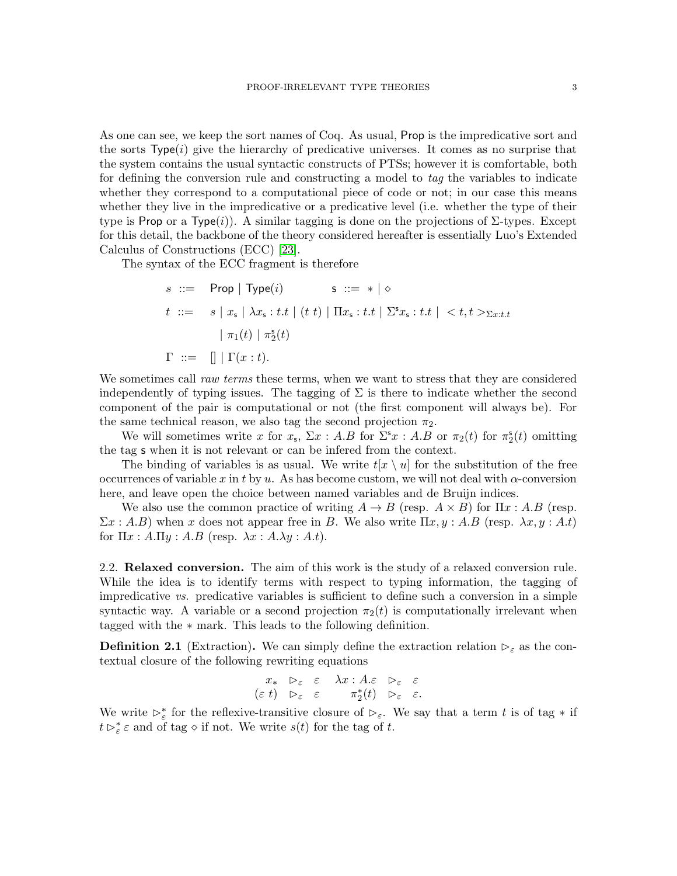As one can see, we keep the sort names of Coq. As usual, Prop is the impredicative sort and the sorts  $Type(i)$  give the hierarchy of predicative universes. It comes as no surprise that the system contains the usual syntactic constructs of PTSs; however it is comfortable, both for defining the conversion rule and constructing a model to *tag* the variables to indicate whether they correspond to a computational piece of code or not; in our case this means whether they live in the impredicative or a predicative level (i.e. whether the type of their type is Prop or a Type(i)). A similar tagging is done on the projections of  $\Sigma$ -types. Except for this detail, the backbone of the theory considered hereafter is essentially Luo's Extended Calculus of Constructions (ECC) [\[23\]](#page-19-4).

The syntax of the ECC fragment is therefore

$$
s ::= \text{Prop} | \text{Type}(i) \quad s ::= * | \diamond
$$
\n
$$
t ::= s | x_s | \lambda x_s : t.t | (t \ t) | \Pi x_s : t.t | \Sigma^s x_s : t.t | < t, t >_{\Sigma x : t.t} \text{ where } t < t \text{ is } t \text{ is } t \text{ is } t \text{ is } t \text{ is } t \text{ is } t \text{ is } t \text{ is } t \text{ is } t \text{ is } t \text{ is } t \text{ is } t \text{ is } t \text{ is } t \text{ is } t \text{ is } t \text{ is } t \text{ is } t \text{ is } t \text{ is } t \text{ is } t \text{ is } t \text{ is } t \text{ is } t \text{ is } t \text{ is } t \text{ is } t \text{ is } t \text{ is } t \text{ is } t \text{ is } t \text{ is } t \text{ is } t \text{ is } t \text{ is } t \text{ is } t \text{ is } t \text{ is } t \text{ is } t \text{ is } t \text{ is } t \text{ is } t \text{ is } t \text{ is } t \text{ is } t \text{ is } t \text{ is } t \text{ is } t \text{ is } t \text{ is } t \text{ is } t \text{ is } t \text{ is } t \text{ is } t \text{ is } t \text{ is } t \text{ is } t \text{ is } t \text{ is } t \text{ is } t \text{ is } t \text{ is } t \text{ is } t \text{ is } t \text{ is } t \text{ is } t \text{ is } t \text{ is } t \text{ is } t \text{ is } t \text{ is } t \text{ is } t \text{ is } t \text{ is } t \text{ is } t \text{ is } t \text{ is } t \text{ is } t \text{ is } t \text{ is } t \text{ is } t \text{ is } t \text{ is } t \text{ is } t \text{ is } t \text{ is } t \text{ is } t \text{ is } t \text{ is } t \text{ is } t \text{ is } t \text{ is } t \text{ is } t \text{ is } t \text{ is } t \text{ is } t \text{ is } t \text{ is } t \text{ is } t \text{ is } t \text{ is } t \text{ is } t \text{ is } t \text{ is } t \text{ is } t \text{ is } t \text{ is } t \text{ is } t \text{ is } t \text{ is } t
$$

We sometimes call *raw terms* these terms, when we want to stress that they are considered independently of typing issues. The tagging of  $\Sigma$  is there to indicate whether the second component of the pair is computational or not (the first component will always be). For the same technical reason, we also tag the second projection  $\pi_2$ .

We will sometimes write x for  $x_s$ ,  $\Sigma x$ : A.B for  $\Sigma^s x$ : A.B or  $\pi_2(t)$  for  $\pi_2^s(t)$  omitting the tag s when it is not relevant or can be infered from the context.

The binding of variables is as usual. We write  $t[x \setminus u]$  for the substitution of the free occurrences of variable x in t by u. As has become custom, we will not deal with  $\alpha$ -conversion here, and leave open the choice between named variables and de Bruijn indices.

We also use the common practice of writing  $A \to B$  (resp.  $A \times B$ ) for  $\Pi x : A.B$  (resp.  $\Sigma x : A.B$ ) when x does not appear free in B. We also write  $\Pi x, y : A.B$  (resp.  $\lambda x, y : A.t$ ) for  $\Pi x : A.\Pi y : A.B$  (resp.  $\lambda x : A.\lambda y : A.t$ ).

2.2. **Relaxed conversion.** The aim of this work is the study of a relaxed conversion rule. While the idea is to identify terms with respect to typing information, the tagging of impredicative *vs.* predicative variables is sufficient to define such a conversion in a simple syntactic way. A variable or a second projection  $\pi_2(t)$  is computationally irrelevant when tagged with the ∗ mark. This leads to the following definition.

**Definition 2.1** (Extraction). We can simply define the extraction relation  $\rho_{\varepsilon}$  as the contextual closure of the following rewriting equations

$$
\begin{array}{ccccc}\nx_{*} & \rhd_{\varepsilon} & \varepsilon & \lambda x:A.\varepsilon & \rhd_{\varepsilon} & \varepsilon \\
(\varepsilon t) & \rhd_{\varepsilon} & \varepsilon & & \pi_{2}^{*}(t) & \rhd_{\varepsilon} & \varepsilon.\n\end{array}
$$

We write  $\triangleright^*_{\varepsilon}$  for the reflexive-transitive closure of  $\triangleright_{\varepsilon}$ . We say that a term t is of tag  $*$  if  $t \rhd_{\varepsilon}^* \varepsilon$  and of tag  $\diamond$  if not. We write  $s(t)$  for the tag of t.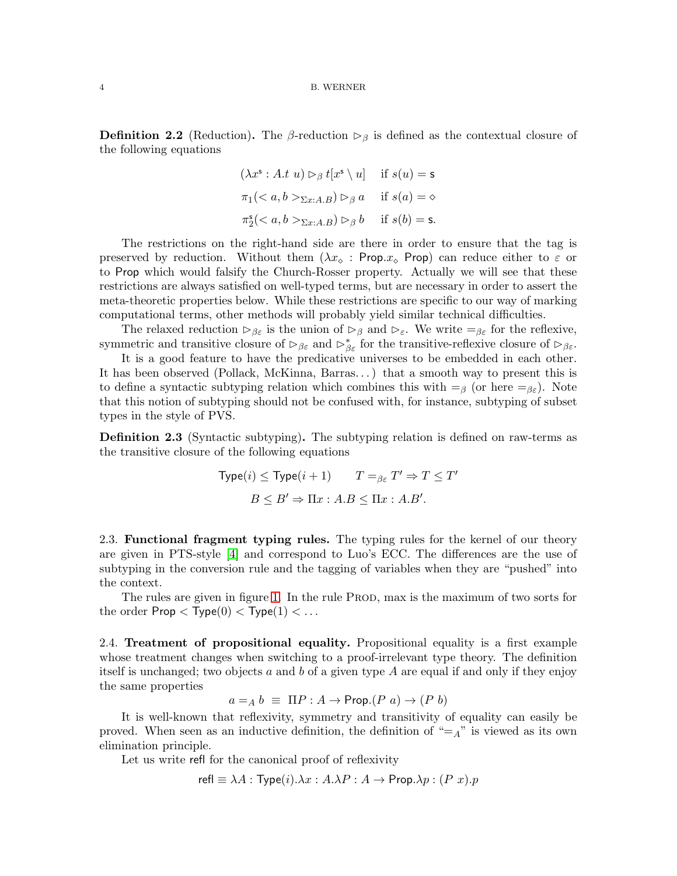**Definition 2.2** (Reduction). The β-reduction  $\rho_{\beta}$  is defined as the contextual closure of the following equations

$$
(\lambda x^{\mathsf{s}} : A.t \ u) \rhd_{\beta} t[x^{\mathsf{s}} \setminus u] \quad \text{if } s(u) = \mathsf{s}
$$

$$
\pi_1(_{\Sigma x:A.B}) \rhd_{\beta} a \quad \text{if } s(a) = \diamond
$$

$$
\pi_2^{\mathsf{s}}(_{\Sigma x:A.B}) \rhd_{\beta} b \quad \text{if } s(b) = \mathsf{s}.
$$

The restrictions on the right-hand side are there in order to ensure that the tag is preserved by reduction. Without them  $(\lambda x_0 : Prop.x_0)$  can reduce either to  $\varepsilon$  or to Prop which would falsify the Church-Rosser property. Actually we will see that these restrictions are always satisfied on well-typed terms, but are necessary in order to assert the meta-theoretic properties below. While these restrictions are specific to our way of marking computational terms, other methods will probably yield similar technical difficulties.

The relaxed reduction  $\triangleright_{\beta \varepsilon}$  is the union of  $\triangleright_{\beta}$  and  $\triangleright_{\varepsilon}$ . We write  $=_{\beta \varepsilon}$  for the reflexive, symmetric and transitive closure of  $\triangleright_{\beta\varepsilon}$  and  $\triangleright_{\beta\varepsilon}^*$  for the transitive-reflexive closure of  $\triangleright_{\beta\varepsilon}$ .

It is a good feature to have the predicative universes to be embedded in each other. It has been observed (Pollack, McKinna, Barras. . . ) that a smooth way to present this is to define a syntactic subtyping relation which combines this with  $=_{\beta}$  (or here  $=_{\beta\epsilon}$ ). Note that this notion of subtyping should not be confused with, for instance, subtyping of subset types in the style of PVS.

**Definition 2.3** (Syntactic subtyping)**.** The subtyping relation is defined on raw-terms as the transitive closure of the following equations

$$
\begin{aligned} \text{Type}(i) \le \text{Type}(i+1) & T =_{\beta \varepsilon} T' \Rightarrow T \le T' \\ B \le B' \Rightarrow \Pi x : A.B \le \Pi x : A.B'. \end{aligned}
$$

2.3. **Functional fragment typing rules.** The typing rules for the kernel of our theory are given in PTS-style [\[4\]](#page-18-6) and correspond to Luo's ECC. The differences are the use of subtyping in the conversion rule and the tagging of variables when they are "pushed" into the context.

The rules are given in figure [1.](#page-4-0) In the rule PROD, max is the maximum of two sorts for the order  $\textsf{Prop} < \textsf{Type}(0) < \textsf{Type}(1) < \ldots$ 

<span id="page-3-0"></span>2.4. **Treatment of propositional equality.** Propositional equality is a first example whose treatment changes when switching to a proof-irrelevant type theory. The definition itself is unchanged; two objects a and b of a given type  $A$  are equal if and only if they enjoy the same properties

$$
a =_A b \equiv \Pi P : A \rightarrow \text{Prop.}(P \ a) \rightarrow (P \ b)
$$

It is well-known that reflexivity, symmetry and transitivity of equality can easily be proved. When seen as an inductive definition, the definition of  $"=_A"$  is viewed as its own elimination principle.

Let us write refl for the canonical proof of reflexivity

$$
\mathsf{refl} \equiv \lambda A : \mathsf{Type}(i).\lambda x : A.\lambda P : A \to \mathsf{Prop}.\lambda p : (P \ x).p
$$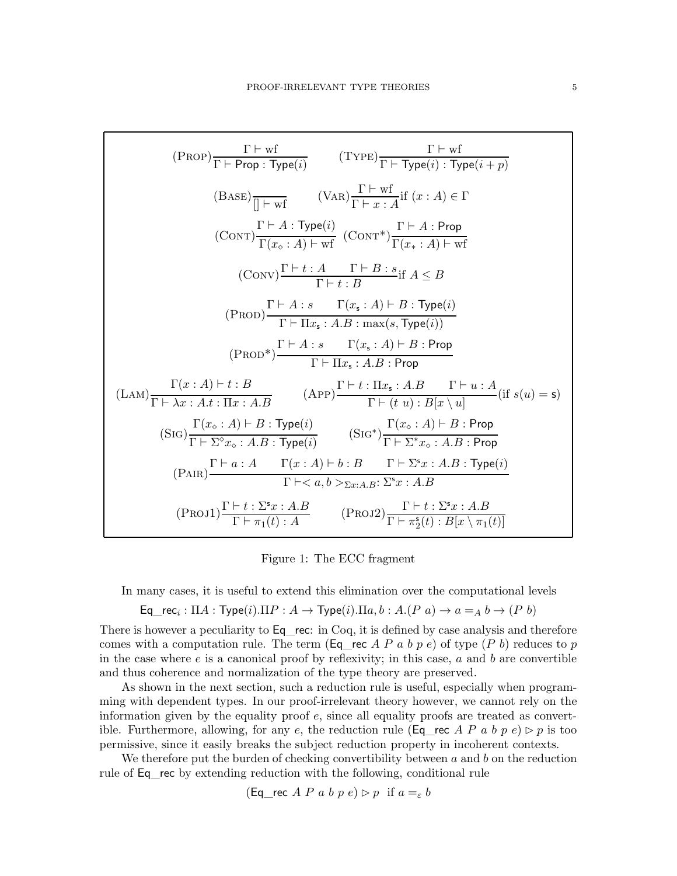$$
(PROF)\frac{\Gamma \vdash wf}{\Gamma \vdash Prop : Type(i)} \qquad (TYPE)\frac{\Gamma \vdash wf}{\Gamma \vdash Type(i) : Type(i + p)}
$$
\n
$$
(BASE)\frac{\Gamma \vdash wf}{\Gamma \vdash wf} \qquad (VaR)\frac{\Gamma \vdash wf}{\Gamma \vdash x : A} \text{if } (x : A) \in \Gamma
$$
\n
$$
(CONT)\frac{\Gamma \vdash A : Type(i)}{\Gamma(x_{\circ} : A) \vdash wf} \qquad (CONT^*)\frac{\Gamma \vdash A : Prop}{\Gamma(x_{\circ} : A) \vdash wf}
$$
\n
$$
(CONV)\frac{\Gamma \vdash t : A \qquad \Gamma \vdash B : s}{\Gamma \vdash t : B} \text{if } A \leq B
$$
\n
$$
(PROD)\frac{\Gamma \vdash A : s \qquad \Gamma(x_{\circ} : A) \vdash B : Type(i)}{\Gamma \vdash \Pi x_{\circ} : A.B : max(s, Type(i))}
$$
\n
$$
(PROD^*)\frac{\Gamma \vdash A : s \qquad \Gamma(x_{\circ} : A) \vdash B : Prop}{\Gamma \vdash \Pi x_{\circ} : A.B : Prop}
$$
\n
$$
(LAN)\frac{\Gamma(x : A) \vdash t : B}{\Gamma \vdash x : A.t : \Pi x : A.B} \qquad (APP)\frac{\Gamma \vdash t : \Pi x_{\circ} : A.B \qquad \Gamma \vdash u : A}{\Gamma \vdash (t u) : B[x \setminus u]} \text{ (if } s(u) = s)}
$$
\n
$$
(SIG)\frac{\Gamma(x_{\circ} : A) \vdash B : Type(i)}{\Gamma \vdash \Sigma^* x : A.B : Type(i)} \qquad (SIG^*)\frac{\Gamma(x_{\circ} : A) \vdash B : Prop}{\Gamma \vdash \Sigma^* x : A.B : Type(i)}}{\Gamma \vdash \prec a, b >_{\Sigma x : A.B : \Sigma^* x : A.B} \qquad (Prop1)\frac{\Gamma \vdash t : \Sigma^* x : A.B}{\Gamma \vdash \neg z(t) : B[x \setminus u] \qquad (PRO1)\frac{\Gamma \vdash t : \Sigma^* x : A.B}{\Gamma \vdash \neg z(t) : B[x \setminus \neg z(t)]}
$$

<span id="page-4-0"></span>Figure 1: The ECC fragment

In many cases, it is useful to extend this elimination over the computational levels

Eq<sub>\_\_rec<sub>i</sub></sub> : 
$$
\Pi A
$$
 : Type(*i*). $\Pi P$  :  $A \rightarrow \text{Type}(i)$ . $\Pi a, b$  :  $A.(P \ a) \rightarrow a =_A b \rightarrow (P \ b)$ 

There is however a peculiarity to  $Eq$  rec: in Coq, it is defined by case analysis and therefore comes with a computation rule. The term (Eq\_rec A P a b p e) of type (P b) reduces to p in the case where  $e$  is a canonical proof by reflexivity; in this case,  $a$  and  $b$  are convertible and thus coherence and normalization of the type theory are preserved.

As shown in the next section, such a reduction rule is useful, especially when programming with dependent types. In our proof-irrelevant theory however, we cannot rely on the information given by the equality proof e, since all equality proofs are treated as convertible. Furthermore, allowing, for any e, the reduction rule (Eq\_rec A P a b p e)  $\rhd$  p is too permissive, since it easily breaks the subject reduction property in incoherent contexts.

We therefore put the burden of checking convertibility between  $a$  and  $b$  on the reduction rule of Eq rec by extending reduction with the following, conditional rule

$$
(\text{Eq\_rec } A \ P \ a \ b \ p \ e) \rhd p \ \text{ if } a =_{\varepsilon} b
$$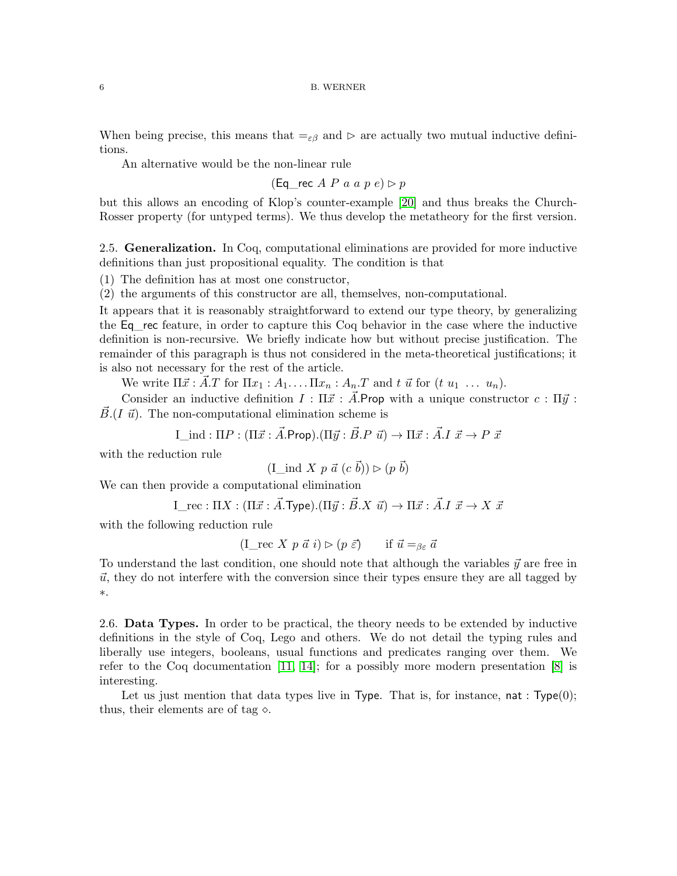When being precise, this means that  $=_{\varepsilon\beta}$  and  $\succeq$  are actually two mutual inductive definitions.

An alternative would be the non-linear rule

(Eq rec A P a a p e)  $\rhd$  p

but this allows an encoding of Klop's counter-example [\[20\]](#page-19-5) and thus breaks the Church-Rosser property (for untyped terms). We thus develop the metatheory for the first version.

<span id="page-5-0"></span>2.5. **Generalization.** In Coq, computational eliminations are provided for more inductive definitions than just propositional equality. The condition is that

(1) The definition has at most one constructor,

(2) the arguments of this constructor are all, themselves, non-computational.

It appears that it is reasonably straightforward to extend our type theory, by generalizing the Eq\_rec feature, in order to capture this Coq behavior in the case where the inductive definition is non-recursive. We briefly indicate how but without precise justification. The remainder of this paragraph is thus not considered in the meta-theoretical justifications; it is also not necessary for the rest of the article.

We write  $\Pi \vec{x} : \vec{A}.T$  for  $\Pi x_1 : A_1 \dots \Pi x_n : A_n.T$  and t  $\vec{u}$  for  $(t u_1 \dots u_n)$ .

Consider an inductive definition  $I : \Pi \vec{x} : \vec{A}$ . Prop with a unique constructor  $c : \Pi \vec{y}$ :  $\vec{B}$ . (I  $\vec{u}$ ). The non-computational elimination scheme is

I ind :  $\Pi P$  :  $(\Pi \vec{x} : \vec{A}.\text{Prop}).(\Pi \vec{y} : \vec{B}.P \vec{u}) \rightarrow \Pi \vec{x} : \vec{A}.I \vec{x} \rightarrow P \vec{x}$ 

with the reduction rule

$$
(\text{I} \text{ind } X \ p \ \vec{a} \ (c \ \vec{b})) \triangleright (p \ \vec{b})
$$

We can then provide a computational elimination

$$
I_{\text{\_rec}} : \Pi X : (\Pi \vec{x} : \vec{A} . \text{Type}).(\Pi \vec{y} : \vec{B} . X \ \vec{u}) \to \Pi \vec{x} : \vec{A} . I \ \vec{x} \to X \ \vec{x}
$$

with the following reduction rule

$$
(\mathbf{I}\_\mathit{rec}\ X\ p\ \vec{a}\ i) \rhd (p\ \vec{\varepsilon}) \qquad \text{if}\ \vec{u} =_{\beta\varepsilon} \vec{a}
$$

To understand the last condition, one should note that although the variables  $\vec{y}$  are free in  $\vec{u}$ , they do not interfere with the conversion since their types ensure they are all tagged by ∗.

2.6. **Data Types.** In order to be practical, the theory needs to be extended by inductive definitions in the style of Coq, Lego and others. We do not detail the typing rules and liberally use integers, booleans, usual functions and predicates ranging over them. We refer to the Coq documentation [\[11,](#page-18-7) [14\]](#page-18-8); for a possibly more modern presentation [\[8\]](#page-18-9) is interesting.

Let us just mention that data types live in Type. That is, for instance,  $nat : Type(0);$ thus, their elements are of tag  $\diamond$ .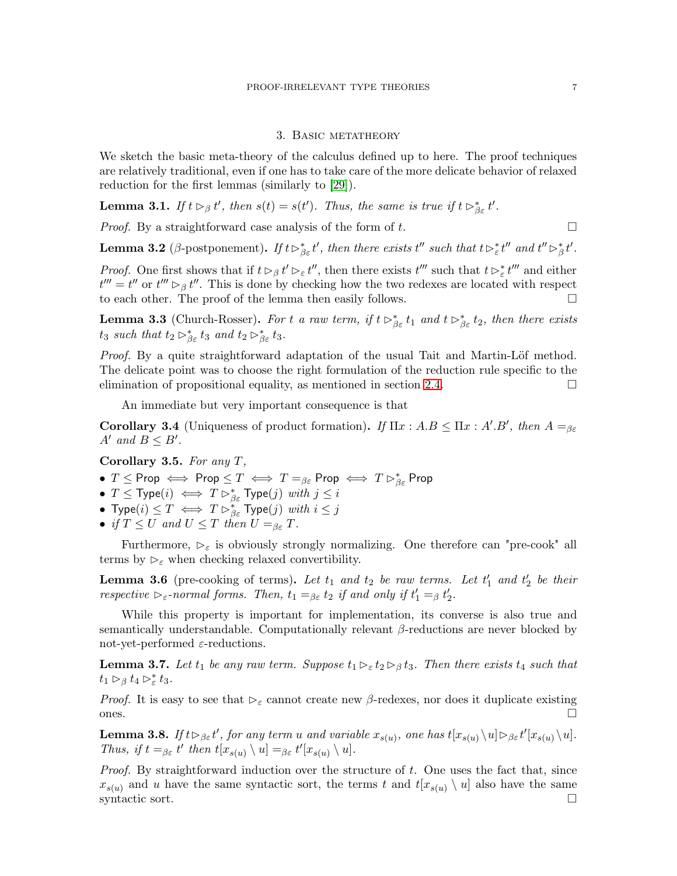### 3. Basic metatheory

We sketch the basic meta-theory of the calculus defined up to here. The proof techniques are relatively traditional, even if one has to take care of the more delicate behavior of relaxed reduction for the first lemmas (similarly to [\[29\]](#page-19-2)).

**Lemma 3.1.** *If*  $t \rhd_{\beta} t'$ , then  $s(t) = s(t')$ . Thus, the same is true if  $t \rhd_{\beta\varepsilon}^* t'$ .

*Proof.* By a straightforward case analysis of the form of  $t$ .

**Lemma 3.2** (β-postponement). If  $t \rhd_{\beta\varepsilon}^* t'$ , then there exists  $t''$  such that  $t \rhd_{\varepsilon}^* t''$  and  $t'' \rhd_{\beta}^* t'$ .

*Proof.* One first shows that if  $t \rhd_\beta t' \rhd_\varepsilon t''$ , then there exists  $t'''$  such that  $t \rhd^*_{\varepsilon} t'''$  and either  $t''' = t''$  or  $t''' \rhd_{\beta} t''$ . This is done by checking how the two redexes are located with respect to each other. The proof of the lemma then easily follows.

**Lemma 3.3** (Church-Rosser). For t *a raw term, if*  $t \rhd_{\beta\varepsilon}^* t_1$  *and*  $t \rhd_{\beta\varepsilon}^* t_2$ *, then there exists*  $t_3$  *such that*  $t_2 \rhd^*_{\beta\varepsilon} t_3$  *and*  $t_2 \rhd^*_{\beta\varepsilon} t_3$ *.* 

*Proof.* By a quite straightforward adaptation of the usual Tait and Martin-Löf method. The delicate point was to choose the right formulation of the reduction rule specific to the elimination of propositional equality, as mentioned in section [2.4.](#page-3-0)  $\Box$ 

An immediate but very important consequence is that

<span id="page-6-0"></span>**Corollary 3.4** (Uniqueness of product formation). *If*  $\Pi x : A.B \leq \Pi x : A'.B'$ , then  $A =_{\beta \varepsilon}$  $A'$  and  $B \leq B'$ .

<span id="page-6-1"></span>**Corollary 3.5.** *For any* T*,*

- $\bullet$   $T \leq$  Prop  $\iff$  Prop  $\leq T \iff T=_{\beta\varepsilon}$  Prop  $\iff T \rhd_{\beta\varepsilon}^*$  Prop
- $T \leq$  Type $(i) \iff T \rhd^*_{\beta\varepsilon}$  Type $(j)$  *with*  $j \leq i$
- $\bullet$  Type $(i) \leq T \iff T \rhd^*_{\beta\varepsilon}$  Type $(j)$  *with*  $i \leq j$
- *if*  $T \leq U$  *and*  $U \leq T$  *then*  $U =_{\beta \varepsilon} T$ *.*

Furthermore,  $\triangleright_{\varepsilon}$  is obviously strongly normalizing. One therefore can "pre-cook" all terms by  $\triangleright_{\varepsilon}$  when checking relaxed convertibility.

**Lemma 3.6** (pre-cooking of terms). Let  $t_1$  and  $t_2$  be raw terms. Let  $t'_1$  and  $t'_2$  be their *respective*  $\triangleright_{\varepsilon}$ -normal forms. Then,  $t_1 =_{\beta \varepsilon} t_2$  *if and only if*  $t'_1 =_{\beta} t'_2$ .

While this property is important for implementation, its converse is also true and semantically understandable. Computationally relevant  $\beta$ -reductions are never blocked by not-yet-performed  $\varepsilon$ -reductions.

**Lemma 3.7.** *Let*  $t_1$  *be any raw term. Suppose*  $t_1 \rhd_{\varepsilon} t_2 \rhd_{\beta} t_3$ *. Then there exists*  $t_4$  *such that*  $t_1 \rhd_{\beta} t_4 \rhd_{\varepsilon}^* t_3.$ 

*Proof.* It is easy to see that  $\triangleright_{\varepsilon}$  cannot create new  $\beta$ -redexes, nor does it duplicate existing ones.  $\Box$ 

**Lemma 3.8.** *If*  $t \rhd_{\beta \varepsilon} t'$ , for any term u and variable  $x_{s(u)}$ , one has  $t[x_{s(u)} \setminus u] \rhd_{\beta \varepsilon} t'[x_{s(u)} \setminus u]$ . *Thus, if*  $t =_{\beta \varepsilon} t'$  then  $t[x_{s(u)} \setminus u] =_{\beta \varepsilon} t'[x_{s(u)} \setminus u]$ .

*Proof.* By straightforward induction over the structure of t. One uses the fact that, since  $x_{s(u)}$  and u have the same syntactic sort, the terms t and  $t[x_{s(u)} \setminus u]$  also have the same syntactic sort.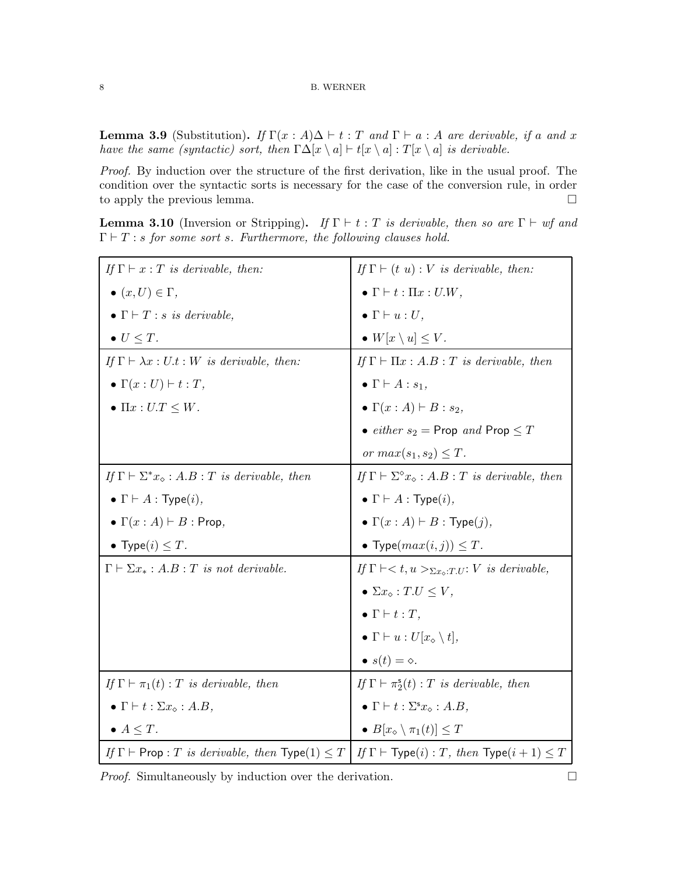<span id="page-7-0"></span>**Lemma 3.9** (Substitution). *If*  $\Gamma(x : A) \Delta \vdash t : T$  *and*  $\Gamma \vdash a : A$  *are derivable, if* a *and* x *have the same (syntactic) sort, then*  $\Gamma\Delta[x \setminus a] \vdash t[x \setminus a] : T[x \setminus a]$  *is derivable.* 

*Proof.* By induction over the structure of the first derivation, like in the usual proof. The condition over the syntactic sorts is necessary for the case of the conversion rule, in order to apply the previous lemma.

**Lemma 3.10** (Inversion or Stripping). *If*  $\Gamma \vdash t : T$  *is derivable, then so are*  $\Gamma \vdash wf$  *and*  $\Gamma \vdash T$ : *s for some sort s. Furthermore, the following clauses hold.* 

| If $\Gamma \vdash x : T$ is derivable, then:                        | If $\Gamma \vdash (t \ u) : V \ \text{is} \ \text{derivable}, \ \text{then:}$   |
|---------------------------------------------------------------------|---------------------------------------------------------------------------------|
| $\bullet$ $(x,U) \in \Gamma$ ,                                      | $\bullet \Gamma \vdash t : \Pi x : U.W,$                                        |
| • $\Gamma \vdash T : s \text{ is derivable},$                       | $\bullet \Gamma \vdash u: U,$                                                   |
| $\bullet U \leq T.$                                                 | $\bullet$ $W[x \setminus u] \leq V$ .                                           |
| If $\Gamma \vdash \lambda x : U.t : W$ is derivable, then:          | If $\Gamma \vdash \Pi x : A.B : T$ is derivable, then                           |
| $\bullet \Gamma(x:U) \vdash t:T,$                                   | $\bullet \Gamma \vdash A : s_1,$                                                |
| $\bullet \ \Pi x : U.T \leq W.$                                     | $\bullet \Gamma(x:A) \vdash B:s_2,$                                             |
|                                                                     | • <i>either</i> $s_2$ = Prop and Prop $\leq T$                                  |
|                                                                     | or $max(s_1, s_2) \leq T$ .                                                     |
| If $\Gamma \vdash \Sigma^* x_\diamond : A.B : T$ is derivable, then | If $\Gamma \vdash \Sigma^{\diamond} x_{\diamond} : A.B : T$ is derivable, then  |
| • $\Gamma \vdash A : \mathsf{Type}(i),$                             | • $\Gamma \vdash A : \mathsf{Type}(i),$                                         |
| • $\Gamma(x:A) \vdash B : \mathsf{Prop},$                           | • $\Gamma(x:A) \vdash B : \text{Type}(j),$                                      |
| • Type $(i) \leq T$ .                                               | • Type $(max(i, j)) \leq T$ .                                                   |
| $\Gamma \vdash \Sigma x_* : A.B : T \text{ is not derivable.}$      | If $\Gamma \vdash < t, u>_{\Sigma x_{\diamond} : T.U}: V \text{ is derivable},$ |
|                                                                     | $\bullet \Sigma x_{\diamond}: T.U \leq V,$                                      |
|                                                                     | $\bullet \Gamma \vdash t : T,$                                                  |
|                                                                     | • $\Gamma \vdash u: U[x_{\diamond} \setminus t],$                               |
|                                                                     | $\bullet s(t) = \diamond.$                                                      |
| If $\Gamma \vdash \pi_1(t) : T$ is derivable, then                  | If $\Gamma \vdash \pi_2^s(t) : T$ is derivable, then                            |
| $\bullet \Gamma \vdash t : \Sigma x_{\diamond} : A.B,$              | $\bullet \Gamma \vdash t : \Sigma^s x_\diamond : A.B,$                          |
| $\bullet$ $A \leq T$ .                                              | $\bullet$ $B[x_{\diamond} \setminus \pi_1(t)] \leq T$                           |
| If $\Gamma \vdash$ Prop : T is derivable, then $Type(1) \leq T$     | If $\Gamma \vdash \mathsf{Type}(i): T$ , then $\mathsf{Type}(i+1) \leq T$       |

*Proof.* Simultaneously by induction over the derivation.  $\Box$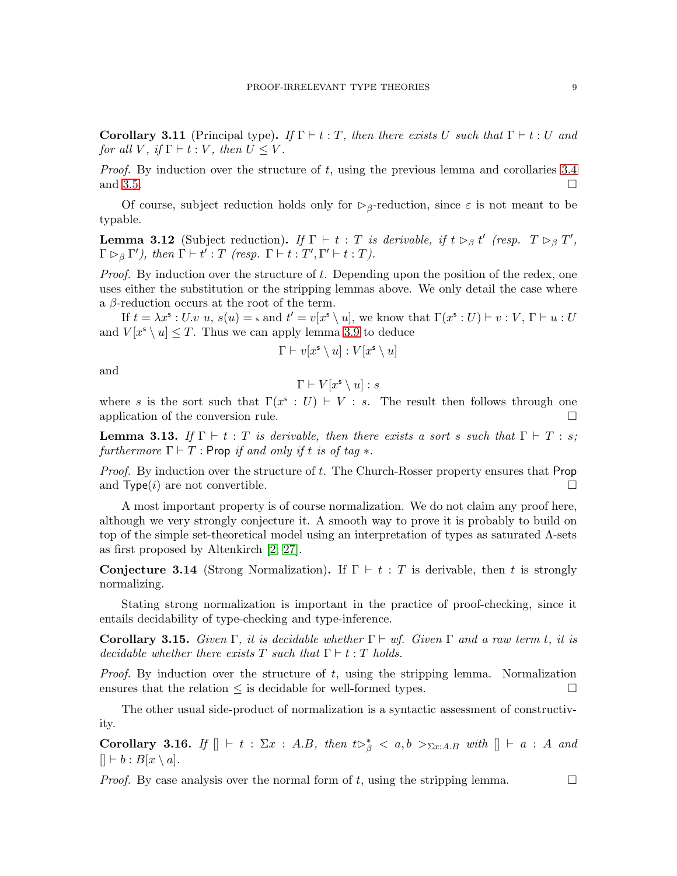**Corollary 3.11** (Principal type). If  $\Gamma \vdash t : T$ , then there exists U such that  $\Gamma \vdash t : U$  and *for all*  $V$ *, if*  $\Gamma \vdash t : V$ *, then*  $U \leq V$ *.* 

*Proof.* By induction over the structure of t, using the previous lemma and corollaries [3.4](#page-6-0) and [3.5.](#page-6-1)

Of course, subject reduction holds only for  $\triangleright_{\beta}$ -reduction, since  $\varepsilon$  is not meant to be typable.

**Lemma 3.12** (Subject reduction). *If*  $\Gamma \vdash t : T$  *is derivable, if*  $t \rhd_{\beta} t'$  (*resp.*  $T \rhd_{\beta} T'$ ,  $\Gamma \rhd_{\beta} \Gamma'$ , then  $\Gamma \vdash t' : T$  (resp.  $\Gamma \vdash t : T', \Gamma' \vdash t : T$ ).

*Proof.* By induction over the structure of t. Depending upon the position of the redex, one uses either the substitution or the stripping lemmas above. We only detail the case where a  $\beta$ -reduction occurs at the root of the term.

If  $t = \lambda x^s : U \cdot v$ ,  $s(u) = s$  and  $t' = v[x^s \setminus u]$ , we know that  $\Gamma(x^s : U) \vdash v : V, \Gamma \vdash u : U$ and  $V[x^s \setminus u] \leq T$ . Thus we can apply lemma [3.9](#page-7-0) to deduce

$$
\Gamma \vdash v[x^{\mathsf{s}} \setminus u] : V[x^{\mathsf{s}} \setminus u]
$$

and

$$
\Gamma \vdash V[x^{\mathsf{s}} \setminus u] : s
$$

where s is the sort such that  $\Gamma(x^s : U) \vdash V : s$ . The result then follows through one application of the conversion rule.  $\Box$ 

**Lemma 3.13.** If  $\Gamma \vdash t : T$  is derivable, then there exists a sort s such that  $\Gamma \vdash T : s$ ; *furthermore*  $\Gamma \vdash T$  : Prop *if and only if t is of tag*  $*$ .

*Proof.* By induction over the structure of t. The Church-Rosser property ensures that Prop and  $Type(i)$  are not convertible.

A most important property is of course normalization. We do not claim any proof here, although we very strongly conjecture it. A smooth way to prove it is probably to build on top of the simple set-theoretical model using an interpretation of types as saturated  $\Lambda$ -sets as first proposed by Altenkirch [\[2,](#page-18-10) [27\]](#page-19-6).

**Conjecture 3.14** (Strong Normalization). If  $\Gamma \vdash t : T$  is derivable, then t is strongly normalizing.

Stating strong normalization is important in the practice of proof-checking, since it entails decidability of type-checking and type-inference.

**Corollary 3.15.** *Given*  $\Gamma$ *, it is decidable whether*  $\Gamma \vdash wf$ *. Given*  $\Gamma$  *and a raw term t, it is decidable whether there exists*  $T$  *such that*  $\Gamma \vdash t : T$  *holds.* 

*Proof.* By induction over the structure of t, using the stripping lemma. Normalization ensures that the relation  $\leq$  is decidable for well-formed types.  $\Box$ 

The other usual side-product of normalization is a syntactic assessment of constructivity.

**Corollary 3.16.** *If*  $[] \vdash t : \Sigma x : A.B,$  *then*  $t \triangleright^*_{\beta} < a, b >_{\Sigma x:A.B}$  *with*  $[] \vdash a : A$  *and*  $[| \vdash b : B[x \setminus a].$ 

*Proof.* By case analysis over the normal form of t, using the stripping lemma.  $\square$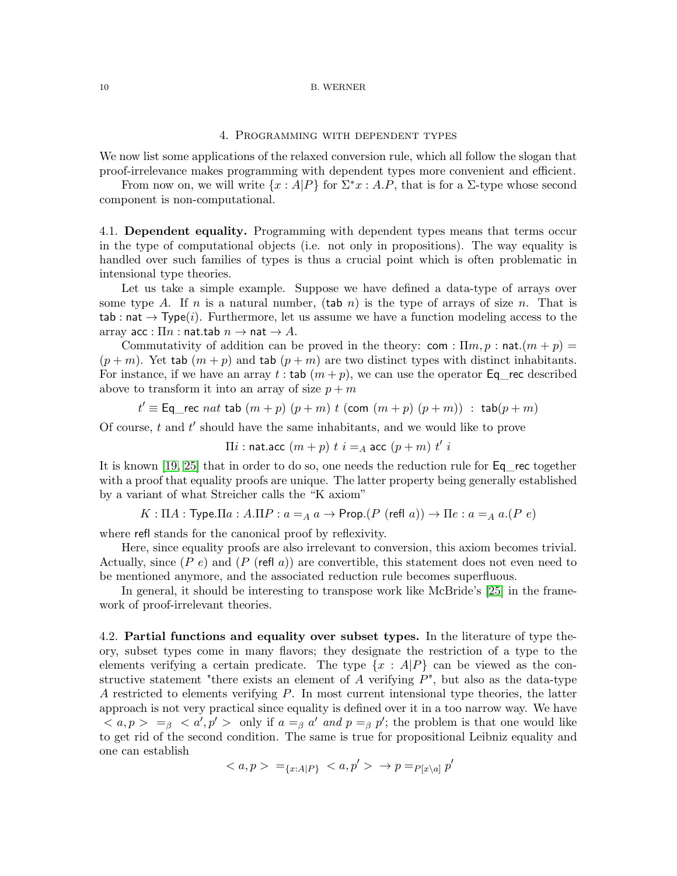## 4. Programming with dependent types

We now list some applications of the relaxed conversion rule, which all follow the slogan that proof-irrelevance makes programming with dependent types more convenient and efficient.

From now on, we will write  $\{x : A|P\}$  for  $\Sigma^*x : A.P$ , that is for a  $\Sigma$ -type whose second component is non-computational.

4.1. **Dependent equality.** Programming with dependent types means that terms occur in the type of computational objects (i.e. not only in propositions). The way equality is handled over such families of types is thus a crucial point which is often problematic in intensional type theories.

Let us take a simple example. Suppose we have defined a data-type of arrays over some type A. If n is a natural number, (tab n) is the type of arrays of size n. That is tab : nat  $\rightarrow$  Type(*i*). Furthermore, let us assume we have a function modeling access to the array acc :  $\Pi n$  : nat.tab  $n \to \textsf{nat} \to A$ .

Commutativity of addition can be proved in the theory: com :  $\Pi m, p$ : nat. $(m + p)$  $(p+m)$ . Yet tab  $(m+p)$  and tab  $(p+m)$  are two distinct types with distinct inhabitants. For instance, if we have an array t: tab  $(m+p)$ , we can use the operator Eq\_rec described above to transform it into an array of size  $p + m$ 

$$
t' \equiv \text{Eq\_rec } nat \text{ tab } (m+p) (p+m) t (\text{com } (m+p) (p+m)) : \text{tab}(p+m)
$$

Of course,  $t$  and  $t'$  should have the same inhabitants, and we would like to prove

 $\Pi i$  : nat.acc  $(m+p)$   $t$   $i =_A$  acc  $(p+m)$   $t'$   $i$ 

It is known [\[19,](#page-19-7) [25\]](#page-19-8) that in order to do so, one needs the reduction rule for Eq\_rec together with a proof that equality proofs are unique. The latter property being generally established by a variant of what Streicher calls the "K axiom"

$$
K: \Pi A: \text{Type}.\Pi a: A.\Pi P: a =_A a \rightarrow \text{Prop}.(P \text{ (refl } a)) \rightarrow \Pi e: a =_A a.(P \text{ } e)
$$

where refl stands for the canonical proof by reflexivity.

Here, since equality proofs are also irrelevant to conversion, this axiom becomes trivial. Actually, since  $(P e)$  and  $(P (refl a))$  are convertible, this statement does not even need to be mentioned anymore, and the associated reduction rule becomes superfluous.

In general, it should be interesting to transpose work like McBride's [\[25\]](#page-19-8) in the framework of proof-irrelevant theories.

4.2. **Partial functions and equality over subset types.** In the literature of type theory, subset types come in many flavors; they designate the restriction of a type to the elements verifying a certain predicate. The type  $\{x : A|P\}$  can be viewed as the constructive statement "there exists an element of A verifying  $P$ ", but also as the data-type A restricted to elements verifying  $P$ . In most current intensional type theories, the latter approach is not very practical since equality is defined over it in a too narrow way. We have  $\langle a, p \rangle = \beta \langle a', p' \rangle$  only if  $a =_{\beta} a'$  and  $p =_{\beta} p'$ ; the problem is that one would like to get rid of the second condition. The same is true for propositional Leibniz equality and one can establish

$$
\langle a, p \rangle =_{\{x : A|P\}} \langle a, p' \rangle \to p =_{P[x \setminus a]} p'
$$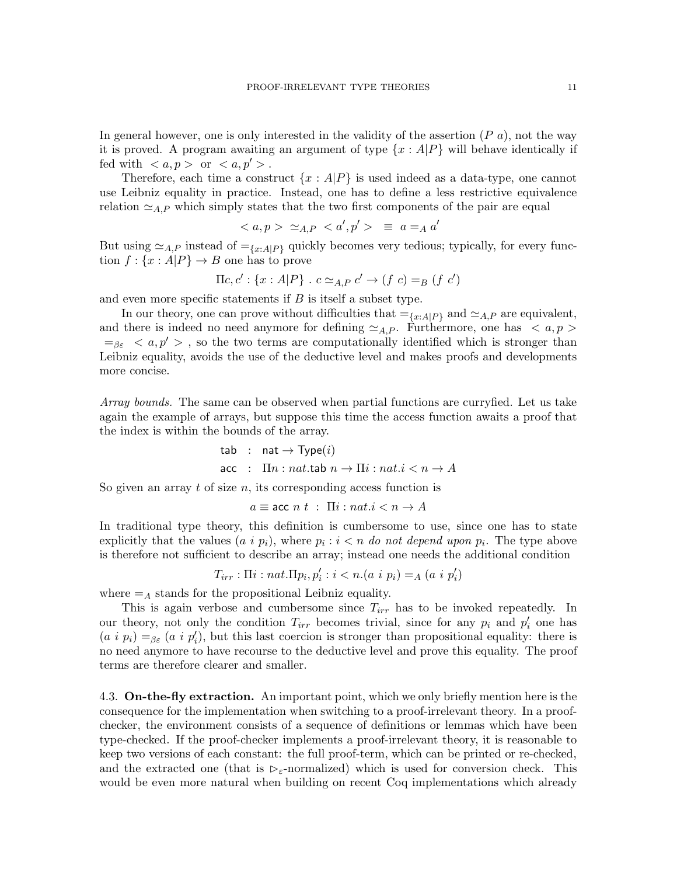In general however, one is only interested in the validity of the assertion  $(P, a)$ , not the way it is proved. A program awaiting an argument of type  $\{x : A|P\}$  will behave identically if fed with  $\langle a, p \rangle$  or  $\langle a, p' \rangle$ .

Therefore, each time a construct  $\{x : A|P\}$  is used indeed as a data-type, one cannot use Leibniz equality in practice. Instead, one has to define a less restrictive equivalence relation  $\simeq_{AP}$  which simply states that the two first components of the pair are equal

$$
\langle a, p \rangle \simeq_{A,P} \langle a', p' \rangle \equiv a =_A a'
$$

But using  $\simeq_{A,P}$  instead of  $=_{\{x:A\mid P\}}$  quickly becomes very tedious; typically, for every function  $f: \{x : A|P\} \rightarrow B$  one has to prove

$$
\Pi c, c' : \{x : A|P\} . c \simeq_{A,P} c' \rightarrow (f c) =_B (f c')
$$

and even more specific statements if  $B$  is itself a subset type.

In our theory, one can prove without difficulties that  $=_{\{x:A|P\}}$  and  $\simeq_{A,P}$  are equivalent, and there is indeed no need anymore for defining  $\simeq_{A,P}$ . Furthermore, one has  $\langle a, p \rangle$  $=_{\beta \varepsilon} < a, p' >$ , so the two terms are computationally identified which is stronger than Leibniz equality, avoids the use of the deductive level and makes proofs and developments more concise.

*Array bounds.* The same can be observed when partial functions are curryfied. Let us take again the example of arrays, but suppose this time the access function awaits a proof that the index is within the bounds of the array.

$$
\begin{aligned}\n\text{tab} & \therefore \quad \text{nat} \rightarrow \text{Type}(i) \\
\text{acc} & \therefore \quad \text{In} \colon n \text{ at.} \text{tab } n \rightarrow \text{In} \colon n \text{ at.} \, i < n \rightarrow A\n\end{aligned}
$$

So given an array  $t$  of size  $n$ , its corresponding access function is

$$
a \equiv \text{acc } n \ t \ : \ \Pi i : n \cdot i \cdot n \to A
$$

In traditional type theory, this definition is cumbersome to use, since one has to state explicitly that the values  $(a \, i \, p_i)$ , where  $p_i : i < n$  do not depend upon  $p_i$ . The type above is therefore not sufficient to describe an array; instead one needs the additional condition

 $T_{irr}$ :  $\Pi i$ :  $nat \Pi p_i, p'_i$ :  $i < n.(a \ i \ p_i) =_A (a \ i \ p'_i)$ 

where  $=$ <sub>A</sub> stands for the propositional Leibniz equality.

This is again verbose and cumbersome since  $T_{irr}$  has to be invoked repeatedly. In our theory, not only the condition  $T_{irr}$  becomes trivial, since for any  $p_i$  and  $p'_i$  one has  $(a i p_i) =_{\beta \varepsilon} (a i p'_i)$ , but this last coercion is stronger than propositional equality: there is no need anymore to have recourse to the deductive level and prove this equality. The proof terms are therefore clearer and smaller.

4.3. **On-the-fly extraction.** An important point, which we only briefly mention here is the consequence for the implementation when switching to a proof-irrelevant theory. In a proofchecker, the environment consists of a sequence of definitions or lemmas which have been type-checked. If the proof-checker implements a proof-irrelevant theory, it is reasonable to keep two versions of each constant: the full proof-term, which can be printed or re-checked, and the extracted one (that is  $\epsilon_{\epsilon}$ -normalized) which is used for conversion check. This would be even more natural when building on recent Coq implementations which already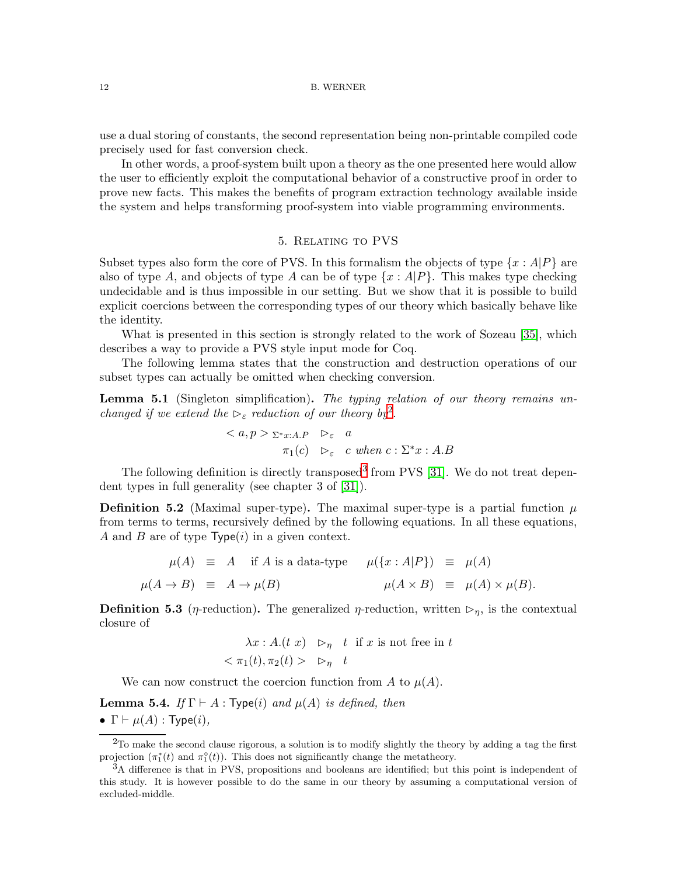use a dual storing of constants, the second representation being non-printable compiled code precisely used for fast conversion check.

In other words, a proof-system built upon a theory as the one presented here would allow the user to efficiently exploit the computational behavior of a constructive proof in order to prove new facts. This makes the benefits of program extraction technology available inside the system and helps transforming proof-system into viable programming environments.

## 5. Relating to PVS

Subset types also form the core of PVS. In this formalism the objects of type  $\{x : A|P\}$  are also of type A, and objects of type A can be of type  $\{x : A|P\}$ . This makes type checking undecidable and is thus impossible in our setting. But we show that it is possible to build explicit coercions between the corresponding types of our theory which basically behave like the identity.

What is presented in this section is strongly related to the work of Sozeau [\[35\]](#page-19-9), which describes a way to provide a PVS style input mode for Coq.

The following lemma states that the construction and destruction operations of our subset types can actually be omitted when checking conversion.

**Lemma 5.1** (Singleton simplification)**.** *The typing relation of our theory remains unchanged if we extend the*  $\epsilon_{\varepsilon}$  *reduction of our theory by*<sup>[2](#page-11-0)</sup>.

$$
\langle a, p \rangle \sum_{x : x : A.P} \quad \triangleright_{\varepsilon} \quad a
$$
  

$$
\pi_1(c) \quad \triangleright_{\varepsilon} \quad c \text{ when } c : \Sigma^* x : A.B
$$

The following definition is directly transposed<sup>[3](#page-11-1)</sup> from PVS  $[31]$ . We do not treat dependent types in full generality (see chapter 3 of [\[31\]](#page-19-10)).

**Definition 5.2** (Maximal super-type). The maximal super-type is a partial function  $\mu$ from terms to terms, recursively defined by the following equations. In all these equations, A and B are of type  $Type(i)$  in a given context.

$$
\mu(A) \equiv A \quad \text{if } A \text{ is a data-type} \qquad \mu(\{x : A | P\}) \equiv \mu(A)
$$
\n
$$
\mu(A \to B) \equiv A \to \mu(B) \qquad \mu(A \times B) \equiv \mu(A) \times \mu(B).
$$

**Definition 5.3** ( $\eta$ -reduction). The generalized  $\eta$ -reduction, written  $\triangleright_n$ , is the contextual closure of

$$
\lambda x : A.(t \ x) \quad \rhd_{\eta} \quad t \text{ if } x \text{ is not free in } t
$$
  

$$
< \pi_1(t), \pi_2(t) > \rhd_{\eta} \quad t
$$

We can now construct the coercion function from A to  $\mu(A)$ .

**Lemma 5.4.** *If*  $\Gamma \vdash A : \mathsf{Type}(i)$  *and*  $\mu(A)$  *is defined, then* •  $\Gamma \vdash \mu(A)$ : Type(*i*),

<span id="page-11-0"></span> $^{2}$ To make the second clause rigorous, a solution is to modify slightly the theory by adding a tag the first projection  $(\pi_1^*(t)$  and  $\pi_1^*(t)$ ). This does not significantly change the metatheory.

<span id="page-11-1"></span><sup>3</sup>A difference is that in PVS, propositions and booleans are identified; but this point is independent of this study. It is however possible to do the same in our theory by assuming a computational version of excluded-middle.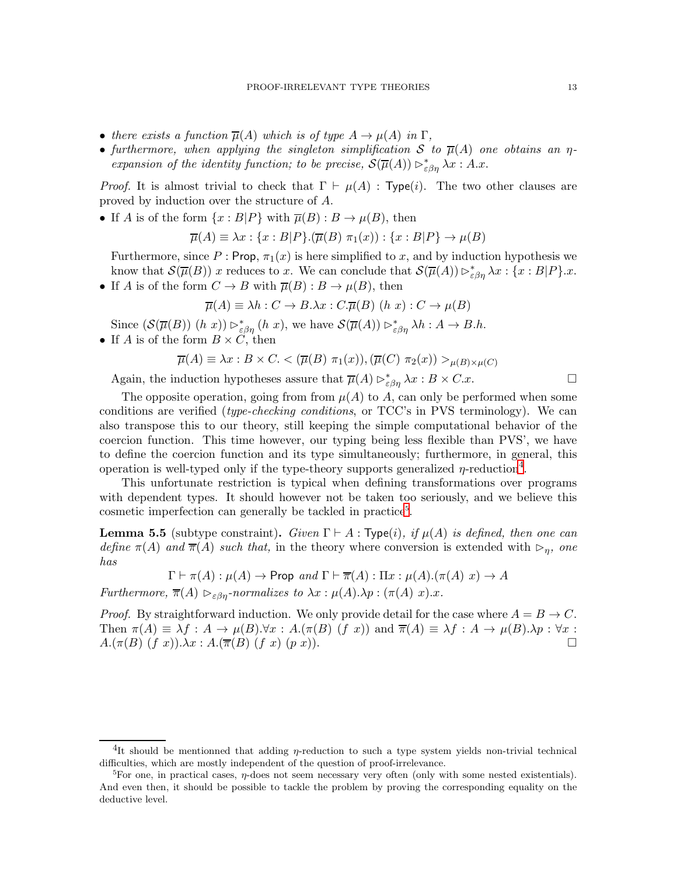- *there exists a function*  $\overline{\mu}(A)$  *which is of type*  $A \rightarrow \mu(A)$  *in*  $\Gamma$ *,*
- furthermore, when applying the singleton simplification S to  $\overline{\mu}(A)$  one obtains an  $\eta$ *expansion of the identity function; to be precise,*  $\mathcal{S}(\overline{\mu}(A)) \rhd_{\varepsilon\beta\eta}^* \lambda x : A.x$ .

*Proof.* It is almost trivial to check that  $\Gamma \vdash \mu(A)$ : Type(i). The two other clauses are proved by induction over the structure of A.

• If A is of the form  $\{x : B|P\}$  with  $\overline{\mu}(B) : B \to \mu(B)$ , then

$$
\overline{\mu}(A) \equiv \lambda x : \{x : B|P\} . (\overline{\mu}(B) \pi_1(x)) : \{x : B|P\} \to \mu(B)
$$

Furthermore, since P : Prop,  $\pi_1(x)$  is here simplified to x, and by induction hypothesis we know that  $\mathcal{S}(\overline{\mu}(B))$  x reduces to x. We can conclude that  $\mathcal{S}(\overline{\mu}(A)) \rhd_{\varepsilon\beta\eta}^* \lambda x : \{x : B|P\}.x$ .

• If A is of the form  $C \to B$  with  $\overline{\mu}(B) : B \to \mu(B)$ , then

$$
\overline{\mu}(A) \equiv \lambda h : C \to B.\lambda x : C.\overline{\mu}(B) \ (h \ x) : C \to \mu(B)
$$

Since  $(\mathcal{S}(\overline{\mu}(B)) (h x)) \triangleright_{\varepsilon \beta \eta}^* (h x)$ , we have  $\mathcal{S}(\overline{\mu}(A)) \triangleright_{\varepsilon \beta \eta}^* \lambda h : A \to B.h$ .

• If A is of the form  $B \times C$ , then

$$
\overline{\mu}(A) \equiv \lambda x : B \times C. < (\overline{\mu}(B) \pi_1(x)), (\overline{\mu}(C) \pi_2(x)) >_{\mu(B) \times \mu(C)}
$$

Again, the induction hypotheses assure that  $\overline{\mu}(A) \rhd^*_{\varepsilon\beta\eta} \lambda x : B \times C.x.$ 

The opposite operation, going from from  $\mu(A)$  to A, can only be performed when some conditions are verified (*type-checking conditions*, or TCC's in PVS terminology). We can also transpose this to our theory, still keeping the simple computational behavior of the coercion function. This time however, our typing being less flexible than PVS', we have to define the coercion function and its type simultaneously; furthermore, in general, this operation is well-typed only if the type-theory supports generalized  $\eta$ -reduction<sup>[4](#page-12-0)</sup>.

This unfortunate restriction is typical when defining transformations over programs with dependent types. It should however not be taken too seriously, and we believe this cosmetic imperfection can generally be tackled in practice<sup>[5](#page-12-1)</sup>.

**Lemma 5.5** (subtype constraint). *Given*  $\Gamma \vdash A : \mathsf{Type}(i)$ *, if*  $\mu(A)$  *is defined, then one can define*  $\pi(A)$  *and*  $\overline{\pi}(A)$  *such that,* in the theory where conversion is extended with  $\rho_n$ , one *has*

$$
\Gamma \vdash \pi(A) : \mu(A) \to \text{Prop and } \Gamma \vdash \overline{\pi}(A) : \Pi x : \mu(A).(\pi(A) \ x) \to A
$$

*Furthermore,*  $\overline{\pi}(A) \geq_{\varepsilon \beta n}$ -normalizes to  $\lambda x : \mu(A) \cdot \lambda p : (\pi(A) \cdot x) \cdot x$ .

*Proof.* By straightforward induction. We only provide detail for the case where  $A = B \rightarrow C$ . Then  $\pi(A) \equiv \lambda f : A \to \mu(B) \forall x : A.(\pi(B) (f x))$  and  $\overline{\pi}(A) \equiv \lambda f : A \to \mu(B) \lambda p : \forall x :$  $A.(\pi(B) (f x)).\lambda x : A.(\overline{\pi}(B) (f x) (p x)).$ 

<sup>&</sup>lt;sup>4</sup>It should be mentionned that adding  $\eta$ -reduction to such a type system yields non-trivial technical difficulties, which are mostly independent of the question of proof-irrelevance.

<span id="page-12-1"></span><span id="page-12-0"></span><sup>&</sup>lt;sup>5</sup>For one, in practical cases,  $\eta$ -does not seem necessary very often (only with some nested existentials). And even then, it should be possible to tackle the problem by proving the corresponding equality on the deductive level.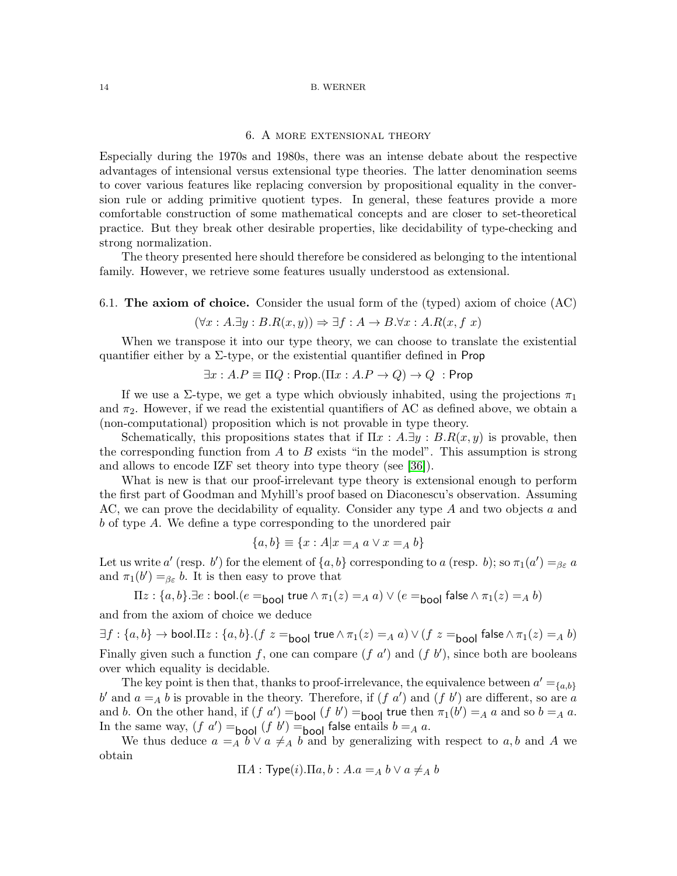### 6. A more extensional theory

Especially during the 1970s and 1980s, there was an intense debate about the respective advantages of intensional versus extensional type theories. The latter denomination seems to cover various features like replacing conversion by propositional equality in the conversion rule or adding primitive quotient types. In general, these features provide a more comfortable construction of some mathematical concepts and are closer to set-theoretical practice. But they break other desirable properties, like decidability of type-checking and strong normalization.

The theory presented here should therefore be considered as belonging to the intentional family. However, we retrieve some features usually understood as extensional.

6.1. **The axiom of choice.** Consider the usual form of the (typed) axiom of choice (AC)

$$
(\forall x:A.\exists y:B.R(x,y)) \Rightarrow \exists f:A \rightarrow B.\forall x:A.R(x,f\ x)
$$

When we transpose it into our type theory, we can choose to translate the existential quantifier either by a  $\Sigma$ -type, or the existential quantifier defined in Prop

$$
\exists x:A.P\equiv \Pi Q:\mathsf{Prop}.(\Pi x:A.P\to Q)\to Q\;:\mathsf{Prop}
$$

If we use a Σ-type, we get a type which obviously inhabited, using the projections  $\pi_1$ and  $\pi_2$ . However, if we read the existential quantifiers of AC as defined above, we obtain a (non-computational) proposition which is not provable in type theory.

Schematically, this propositions states that if  $\Pi x : A \exists y : B.R(x,y)$  is provable, then the corresponding function from A to B exists "in the model". This assumption is strong and allows to encode IZF set theory into type theory (see [\[36\]](#page-19-11)).

What is new is that our proof-irrelevant type theory is extensional enough to perform the first part of Goodman and Myhill's proof based on Diaconescu's observation. Assuming AC, we can prove the decidability of equality. Consider any type A and two objects a and b of type A. We define a type corresponding to the unordered pair

$$
\{a, b\} \equiv \{x : A | x =_A a \lor x =_A b\}
$$

Let us write  $a'$  (resp. b') for the element of  $\{a, b\}$  corresponding to a (resp. b); so  $\pi_1(a') =_{\beta \varepsilon} a$ and  $\pi_1(b') =_{\beta \varepsilon} b$ . It is then easy to prove that

$$
\Pi z : \{a, b\}.\exists e : \text{bool.}(e =_{\text{bool}} \text{true} \land \pi_1(z) =_A a) \lor (e =_{\text{bool}} \text{false} \land \pi_1(z) =_A b)
$$

and from the axiom of choice we deduce

 $\exists f: \{a,b\} \rightarrow \text{bool}.\Pi z: \{a,b\}.(f|z) = \text{bool}$  true  $\wedge \pi_1(z) =_A a$ )  $\vee$   $(f|z) =_{\text{bool}}$  false  $\wedge \pi_1(z) =_A b$ ) Finally given such a function f, one can compare  $(f\ a')$  and  $(f\ b')$ , since both are booleans over which equality is decidable.

The key point is then that, thanks to proof-irrelevance, the equivalence between  $a' = \{a, b\}$ b' and  $a = A b$  is provable in the theory. Therefore, if  $(f a')$  and  $(f b')$  are different, so are a and b. On the other hand, if  $(f \circ a') =$ bool  $(f \circ b') =$ bool true then  $\pi_1(b') =_A a$  and so  $b =_A a$ . In the same way,  $(f \, a') =$ bool  $(f \, b') =$ bool false entails  $b = A \, a$ .

We thus deduce  $a = A b \vee a \neq A b$  and by generalizing with respect to a, b and A we obtain

$$
\Pi A : \mathsf{Type}(i). \Pi a, b : A.a =_A b \lor a \neq_A b
$$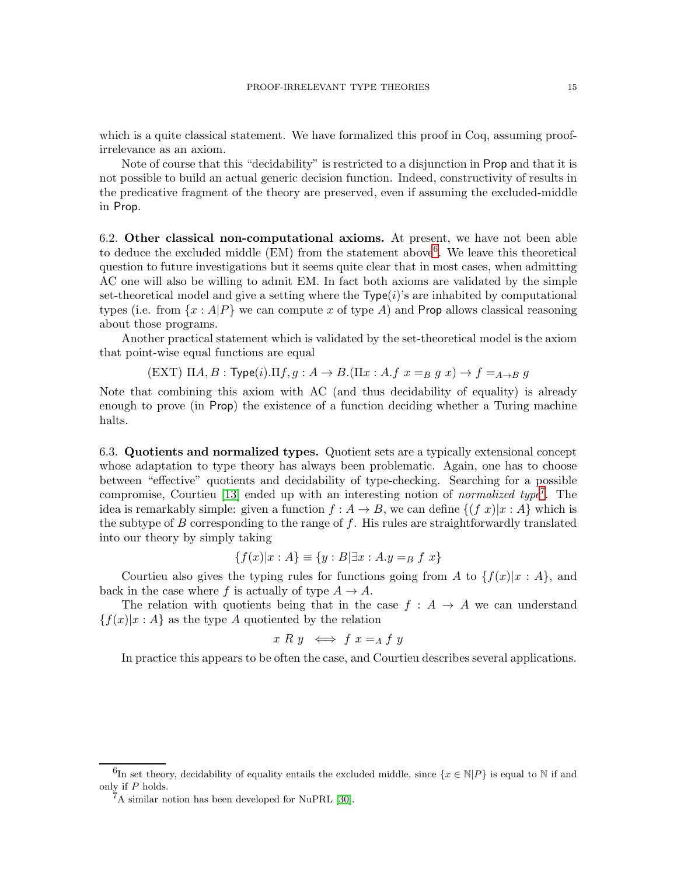which is a quite classical statement. We have formalized this proof in Coq, assuming proofirrelevance as an axiom.

Note of course that this "decidability" is restricted to a disjunction in Prop and that it is not possible to build an actual generic decision function. Indeed, constructivity of results in the predicative fragment of the theory are preserved, even if assuming the excluded-middle in Prop.

6.2. **Other classical non-computational axioms.** At present, we have not been able to deduce the excluded middle  $(EM)$  from the statement above<sup>[6](#page-14-0)</sup>. We leave this theoretical question to future investigations but it seems quite clear that in most cases, when admitting AC one will also be willing to admit EM. In fact both axioms are validated by the simple set-theoretical model and give a setting where the  $Type(i)$ 's are inhabited by computational types (i.e. from  $\{x : A|P\}$  we can compute x of type A) and Prop allows classical reasoning about those programs.

Another practical statement which is validated by the set-theoretical model is the axiom that point-wise equal functions are equal

$$
(EXT) \ \Pi A, B : \mathsf{Type}(i). \Pi f, g : A \to B. (\Pi x : A.f \ x =_B g \ x) \to f =_{A \to B} g
$$

Note that combining this axiom with AC (and thus decidability of equality) is already enough to prove (in Prop) the existence of a function deciding whether a Turing machine halts.

6.3. **Quotients and normalized types.** Quotient sets are a typically extensional concept whose adaptation to type theory has always been problematic. Again, one has to choose between "effective" quotients and decidability of type-checking. Searching for a possible compromise, Courtieu [\[13\]](#page-18-11) ended up with an interesting notion of *normalized type*[7](#page-14-1) . The idea is remarkably simple: given a function  $f : A \to B$ , we can define  $\{(f x)|x : A\}$  which is the subtype of  $B$  corresponding to the range of  $f$ . His rules are straightforwardly translated into our theory by simply taking

$$
\{f(x)|x:A\} \equiv \{y:B|\exists x:A.y =_B f x\}
$$

Courtieu also gives the typing rules for functions going from A to  $\{f(x)|x : A\}$ , and back in the case where f is actually of type  $A \to A$ .

The relation with quotients being that in the case  $f : A \rightarrow A$  we can understand  ${f(x)|x:A}$  as the type A quotiented by the relation

$$
x R y \iff f x =_A f y
$$

In practice this appears to be often the case, and Courtieu describes several applications.

<sup>&</sup>lt;sup>6</sup>In set theory, decidability of equality entails the excluded middle, since  $\{x \in \mathbb{N} | P\}$  is equal to N if and only if P holds.

<span id="page-14-1"></span><span id="page-14-0"></span><sup>7</sup>A similar notion has been developed for NuPRL [\[30\]](#page-19-12).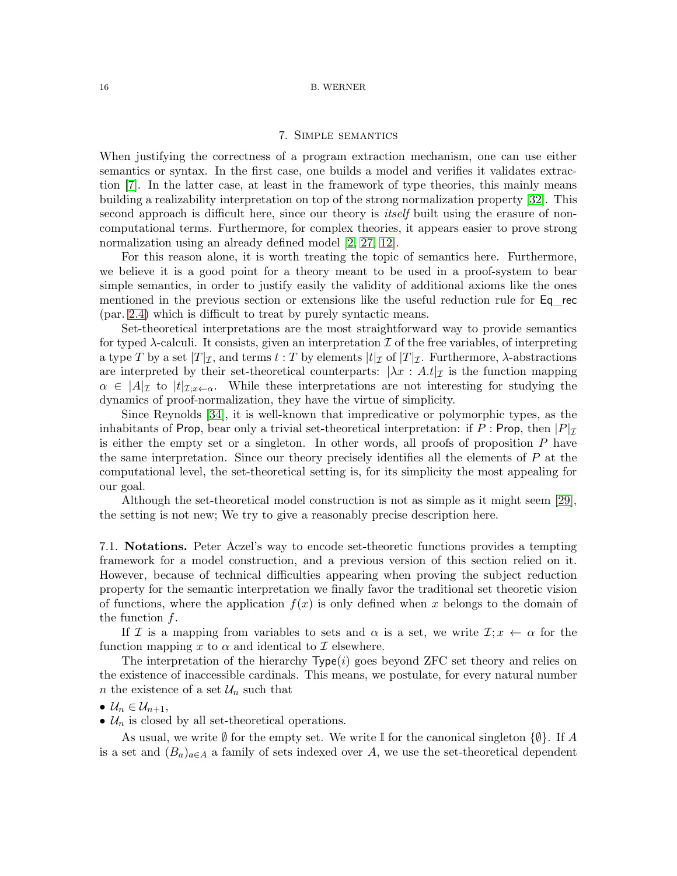## 7. Simple semantics

When justifying the correctness of a program extraction mechanism, one can use either semantics or syntax. In the first case, one builds a model and verifies it validates extraction [\[7\]](#page-18-12). In the latter case, at least in the framework of type theories, this mainly means building a realizability interpretation on top of the strong normalization property [\[32\]](#page-19-13). This second approach is difficult here, since our theory is *itself* built using the erasure of noncomputational terms. Furthermore, for complex theories, it appears easier to prove strong normalization using an already defined model [\[2,](#page-18-10) [27,](#page-19-6) [12\]](#page-18-13).

For this reason alone, it is worth treating the topic of semantics here. Furthermore, we believe it is a good point for a theory meant to be used in a proof-system to bear simple semantics, in order to justify easily the validity of additional axioms like the ones mentioned in the previous section or extensions like the useful reduction rule for Eq rec (par. [2.4\)](#page-3-0) which is difficult to treat by purely syntactic means.

Set-theoretical interpretations are the most straightforward way to provide semantics for typed  $\lambda$ -calculi. It consists, given an interpretation  $\mathcal I$  of the free variables, of interpreting a type T by a set  $|T|_{\mathcal{I}}$ , and terms  $t : T$  by elements  $|t|_{\mathcal{I}}$  of  $|T|_{\mathcal{I}}$ . Furthermore,  $\lambda$ -abstractions are interpreted by their set-theoretical counterparts:  $\lambda x : A.t|_{\mathcal{I}}$  is the function mapping  $\alpha \in |A|_{\mathcal{I}}$  to  $|t|_{\mathcal{I}:x\leftarrow \alpha}$ . While these interpretations are not interesting for studying the dynamics of proof-normalization, they have the virtue of simplicity.

Since Reynolds [\[34\]](#page-19-14), it is well-known that impredicative or polymorphic types, as the inhabitants of Prop, bear only a trivial set-theoretical interpretation: if P : Prop, then  $|P|_{\mathcal{I}}$ is either the empty set or a singleton. In other words, all proofs of proposition P have the same interpretation. Since our theory precisely identifies all the elements of  $P$  at the computational level, the set-theoretical setting is, for its simplicity the most appealing for our goal.

Although the set-theoretical model construction is not as simple as it might seem [\[29\]](#page-19-2), the setting is not new; We try to give a reasonably precise description here.

7.1. **Notations.** Peter Aczel's way to encode set-theoretic functions provides a tempting framework for a model construction, and a previous version of this section relied on it. However, because of technical difficulties appearing when proving the subject reduction property for the semantic interpretation we finally favor the traditional set theoretic vision of functions, where the application  $f(x)$  is only defined when x belongs to the domain of the function  $f$ .

If I is a mapping from variables to sets and  $\alpha$  is a set, we write  $\mathcal{I}$ ;  $x \leftarrow \alpha$  for the function mapping x to  $\alpha$  and identical to  $\mathcal I$  elsewhere.

The interpretation of the hierarchy  $Type(i)$  goes beyond ZFC set theory and relies on the existence of inaccessible cardinals. This means, we postulate, for every natural number *n* the existence of a set  $\mathcal{U}_n$  such that

$$
\bullet\ \mathcal{U}_n\in\mathcal{U}_{n+1},
$$

•  $\mathcal{U}_n$  is closed by all set-theoretical operations.

As usual, we write  $\emptyset$  for the empty set. We write I for the canonical singleton  $\{\emptyset\}$ . If A is a set and  $(B_a)_{a \in A}$  a family of sets indexed over A, we use the set-theoretical dependent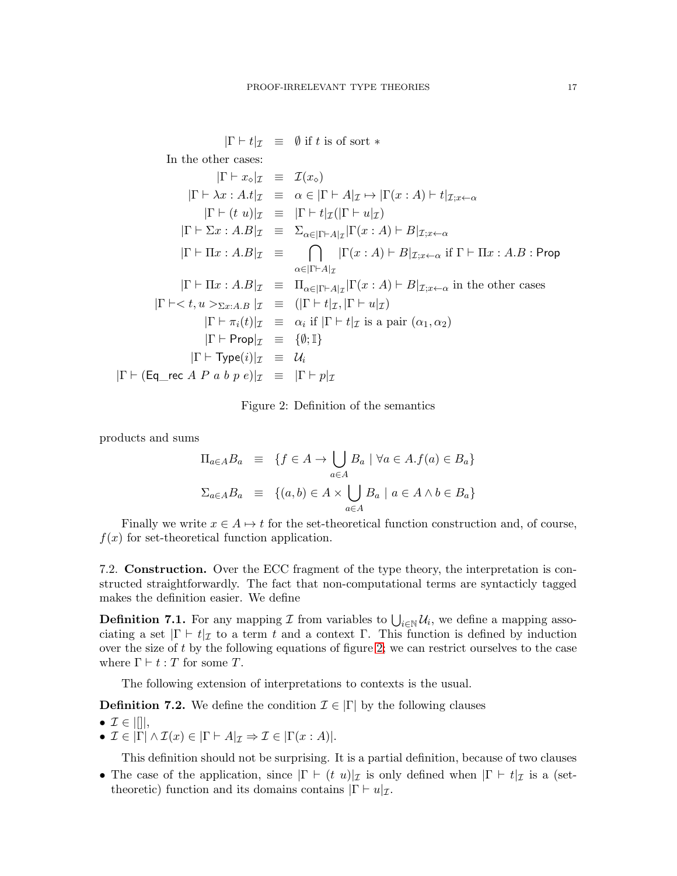$|\Gamma \vdash t|_{\mathcal{I}} \equiv \emptyset$  if t is of sort \*

In the other cases:

$$
|\Gamma \vdash x_{\circ}|\mathcal{I} \equiv \mathcal{I}(x_{\circ})
$$
\n
$$
|\Gamma \vdash \lambda x : A.t|\mathcal{I} \equiv \alpha \in |\Gamma \vdash A|\mathcal{I} \mapsto |\Gamma(x:A) \vdash t|\mathcal{I}; x \leftarrow \alpha
$$
\n
$$
|\Gamma \vdash (t \ u)|\mathcal{I} \equiv |\Gamma \vdash t|\mathcal{I}(|\Gamma \vdash u|\mathcal{I})
$$
\n
$$
|\Gamma \vdash \Sigma x : A.B|\mathcal{I} \equiv \sum_{\alpha \in |\Gamma \vdash A|\mathcal{I}} |\Gamma(x:A) \vdash B|\mathcal{I}; x \leftarrow \alpha
$$
\n
$$
|\Gamma \vdash \Pi x : A.B|\mathcal{I} \equiv \bigcap_{\alpha \in |\Gamma \vdash A|\mathcal{I}} |\Gamma(x:A) \vdash B|\mathcal{I}; x \leftarrow \alpha \text{ if } \Gamma \vdash \Pi x : A.B : \text{Prop}
$$
\n
$$
|\Gamma \vdash \Pi x : A.B|\mathcal{I} \equiv \Pi_{\alpha \in |\Gamma \vdash A|\mathcal{I}} |\Gamma(x:A) \vdash B|\mathcal{I}; x \leftarrow \alpha \text{ in the other cases}
$$
\n
$$
|\Gamma \vdash \langle t, u \rangle \langle \Sigma x : A.B|\mathcal{I} \equiv \Pi_{\alpha \in |\Gamma \vdash A|\mathcal{I}} |\Gamma(x:A) \vdash B|\mathcal{I}; x \leftarrow \alpha \text{ in the other cases}
$$
\n
$$
|\Gamma \vdash \langle t, u \rangle \langle \Sigma x : A.B|\mathcal{I} \equiv \Pi_{\alpha \in |\Gamma \vdash A|\mathcal{I}} |\Gamma \vdash u|\mathcal{I})
$$
\n
$$
|\Gamma \vdash \neg p \mathcal{I}| \mathcal{I} \equiv \alpha_i \text{ if } |\Gamma \vdash t|\mathcal{I} \text{ is a pair } (\alpha_1, \alpha_2)
$$
\n
$$
|\Gamma \vdash \text{Prop}|\mathcal{I} \equiv \mathcal{U}_i
$$
\n
$$
|\Gamma \vdash (\text{Eq\_rec } A \ P \ a \ b \ p \ e)|\mathcal{I} \equiv |\Gamma \vdash p|\mathcal{I}
$$

<span id="page-16-0"></span>Figure 2: Definition of the semantics

products and sums

$$
\Pi_{a \in A} B_a \equiv \{ f \in A \to \bigcup_{a \in A} B_a \mid \forall a \in A . f(a) \in B_a \}
$$
  

$$
\Sigma_{a \in A} B_a \equiv \{ (a, b) \in A \times \bigcup_{a \in A} B_a \mid a \in A \land b \in B_a \}
$$

Finally we write  $x \in A \mapsto t$  for the set-theoretical function construction and, of course,  $f(x)$  for set-theoretical function application.

7.2. **Construction.** Over the ECC fragment of the type theory, the interpretation is constructed straightforwardly. The fact that non-computational terms are syntacticly tagged makes the definition easier. We define

**Definition 7.1.** For any mapping  $\mathcal I$  from variables to  $\bigcup_{i\in\mathbb N} \mathcal U_i$ , we define a mapping associating a set  $|\Gamma \vdash t|_{\mathcal{I}}$  to a term t and a context  $\Gamma$ . This function is defined by induction over the size of  $t$  by the following equations of figure [2;](#page-16-0) we can restrict ourselves to the case where  $\Gamma \vdash t : T$  for some T.

The following extension of interpretations to contexts is the usual.

**Definition 7.2.** We define the condition  $\mathcal{I} \in |\Gamma|$  by the following clauses

- $\mathcal{I} \in ||||$ ,
- $\mathcal{I} \in |\Gamma| \wedge \mathcal{I}(x) \in |\Gamma \vdash A|_{\mathcal{I}} \Rightarrow \mathcal{I} \in |\Gamma(x : A)|.$

This definition should not be surprising. It is a partial definition, because of two clauses

• The case of the application, since  $|\Gamma \vdash (t \ u)|_{\mathcal{I}}$  is only defined when  $|\Gamma \vdash t|_{\mathcal{I}}$  is a (settheoretic) function and its domains contains  $|\Gamma \vdash u|_{\mathcal{I}}$ .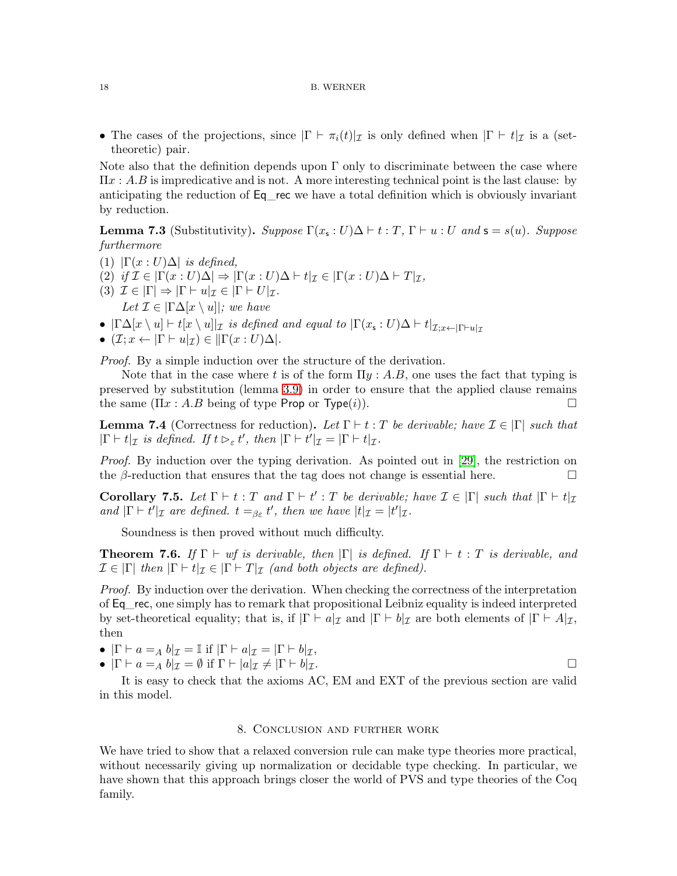• The cases of the projections, since  $|\Gamma \vdash \pi_i(t)|_{\mathcal{I}}$  is only defined when  $|\Gamma \vdash t|_{\mathcal{I}}$  is a (settheoretic) pair.

Note also that the definition depends upon  $\Gamma$  only to discriminate between the case where  $\Pi x : A.B$  is impredicative and is not. A more interesting technical point is the last clause: by anticipating the reduction of Eq\_rec we have a total definition which is obviously invariant by reduction.

**Lemma 7.3** (Substitutivity). *Suppose*  $\Gamma(x_s:U)\Delta \vdash t:T$ ,  $\Gamma \vdash u:U$  and  $\mathsf{s} = s(u)$ *. Suppose furthermore*

- (1)  $|\Gamma(x:U)\Delta|$  *is defined,*
- (2) *if*  $\mathcal{I} \in |\Gamma(x:U)\Delta| \Rightarrow |\Gamma(x:U)\Delta| + t|_{\mathcal{I}} \in |\Gamma(x:U)\Delta| + T|_{\mathcal{I}},$
- (3)  $\mathcal{I} \in |\Gamma| \Rightarrow |\Gamma| \in u|_{\mathcal{I}} \in |\Gamma| \in U|_{\mathcal{I}}.$ *Let*  $\mathcal{I} \in |\Gamma \Delta[x \setminus u]|$ *; we have*
- $|\Gamma\Delta[x \setminus u] \vdash t[x \setminus u]|_{\mathcal{I}}$  *is defined and equal to*  $|\Gamma(x_{\mathsf{s}}:U)\Delta \vdash t|_{\mathcal{I};x\leftarrow |\Gamma\vdash u|_{\mathcal{I}}}$
- $(\mathcal{I}; x \leftarrow |\Gamma \vdash u|_{\mathcal{I}}) \in ||\Gamma(x : U)\Delta|.$

*Proof.* By a simple induction over the structure of the derivation.

Note that in the case where t is of the form  $\Pi y : A.B$ , one uses the fact that typing is preserved by substitution (lemma [3.9\)](#page-7-0) in order to ensure that the applied clause remains the same  $(\Pi x : A.B$  being of type Prop or Type $(i)$ ).

**Lemma 7.4** (Correctness for reduction). Let  $\Gamma \vdash t : T$  be derivable; have  $\mathcal{I} \in |\Gamma|$  such that  $|\Gamma \vdash t|_{\mathcal{I}}$  *is defined. If*  $t \rhd_{\varepsilon} t'$ *, then*  $|\Gamma \vdash t'|_{\mathcal{I}} = |\Gamma \vdash t|_{\mathcal{I}}$ *.* 

*Proof.* By induction over the typing derivation. As pointed out in [\[29\]](#page-19-2), the restriction on the  $\beta$ -reduction that ensures that the tag does not change is essential here.

**Corollary 7.5.** Let  $\Gamma \vdash t : T$  and  $\Gamma \vdash t' : T$  be derivable; have  $\mathcal{I} \in |\Gamma|$  such that  $|\Gamma \vdash t|_{\mathcal{I}}$ *and*  $|\Gamma \vdash t'|_{\mathcal{I}}$  *are defined.*  $t =_{\beta \varepsilon} t'$ , *then we have*  $|t|_{\mathcal{I}} = |t'|_{\mathcal{I}}$ .

Soundness is then proved without much difficulty.

**Theorem 7.6.** *If*  $\Gamma \vdash wf$  *is derivable, then*  $|\Gamma|$  *is defined. If*  $\Gamma \vdash t : T$  *is derivable, and*  $\mathcal{I} \in |\Gamma|$  *then*  $|\Gamma \vdash t|_{\mathcal{I}} \in |\Gamma \vdash T|_{\mathcal{I}}$  *(and both objects are defined).* 

*Proof.* By induction over the derivation. When checking the correctness of the interpretation of Eq\_rec, one simply has to remark that propositional Leibniz equality is indeed interpreted by set-theoretical equality; that is, if  $|\Gamma \vdash a|_{\mathcal{I}}$  and  $|\Gamma \vdash b|_{\mathcal{I}}$  are both elements of  $|\Gamma \vdash A|_{\mathcal{I}}$ , then

•  $|\Gamma \vdash a =_A b|_{\mathcal{I}} = \mathbb{I}$  if  $|\Gamma \vdash a|_{\mathcal{I}} = |\Gamma \vdash b|_{\mathcal{I}},$ 

•  $|\Gamma \vdash a =_A b |_{\mathcal{I}} = \emptyset$  if  $\Gamma \vdash |a|_{\mathcal{I}} \neq |\Gamma \vdash b|_{\mathcal{I}}.$ 

It is easy to check that the axioms AC, EM and EXT of the previous section are valid in this model.

### 8. Conclusion and further work

We have tried to show that a relaxed conversion rule can make type theories more practical, without necessarily giving up normalization or decidable type checking. In particular, we have shown that this approach brings closer the world of PVS and type theories of the Coq family.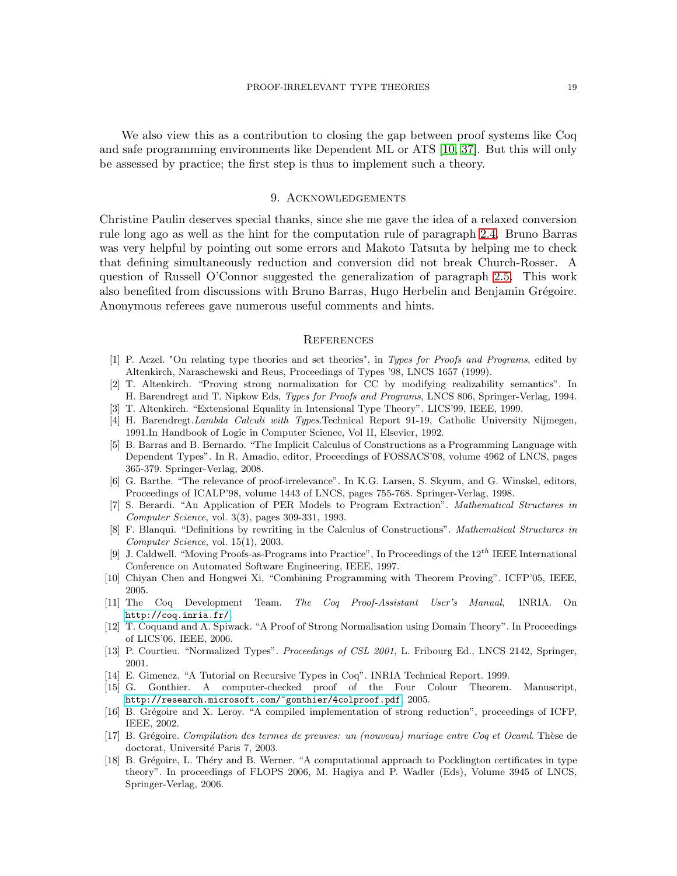We also view this as a contribution to closing the gap between proof systems like Coq and safe programming environments like Dependent ML or ATS [\[10,](#page-18-14) [37\]](#page-19-15). But this will only be assessed by practice; the first step is thus to implement such a theory.

## 9. Acknowledgements

Christine Paulin deserves special thanks, since she me gave the idea of a relaxed conversion rule long ago as well as the hint for the computation rule of paragraph [2.4.](#page-3-0) Bruno Barras was very helpful by pointing out some errors and Makoto Tatsuta by helping me to check that defining simultaneously reduction and conversion did not break Church-Rosser. A question of Russell O'Connor suggested the generalization of paragraph [2.5.](#page-5-0) This work also benefited from discussions with Bruno Barras, Hugo Herbelin and Benjamin Grégoire. Anonymous referees gave numerous useful comments and hints.

## **REFERENCES**

- [1] P. Aczel. "On relating type theories and set theories", in *Types for Proofs and Programs*, edited by Altenkirch, Naraschewski and Reus, Proceedings of Types '98, LNCS 1657 (1999).
- <span id="page-18-10"></span>[2] T. Altenkirch. "Proving strong normalization for CC by modifying realizability semantics". In H. Barendregt and T. Nipkow Eds, *Types for Proofs and Programs*, LNCS 806, Springer-Verlag, 1994.
- <span id="page-18-6"></span><span id="page-18-2"></span>[3] T. Altenkirch. "Extensional Equality in Intensional Type Theory". LICS'99, IEEE, 1999.
- [4] H. Barendregt.*Lambda Calculi with Types*.Technical Report 91-19, Catholic University Nijmegen, 1991.In Handbook of Logic in Computer Science, Vol II, Elsevier, 1992.
- <span id="page-18-5"></span>[5] B. Barras and B. Bernardo. "The Implicit Calculus of Constructions as a Programming Language with Dependent Types". In R. Amadio, editor, Proceedings of FOSSACS'08, volume 4962 of LNCS, pages 365-379. Springer-Verlag, 2008.
- <span id="page-18-3"></span>[6] G. Barthe. "The relevance of proof-irrelevance". In K.G. Larsen, S. Skyum, and G. Winskel, editors, Proceedings of ICALP'98, volume 1443 of LNCS, pages 755-768. Springer-Verlag, 1998.
- <span id="page-18-12"></span>[7] S. Berardi. "An Application of PER Models to Program Extraction". *Mathematical Structures in Computer Science*, vol. 3(3), pages 309-331, 1993.
- <span id="page-18-9"></span>[8] F. Blanqui. "Definitions by rewriting in the Calculus of Constructions". *Mathematical Structures in Computer Science*, vol. 15(1), 2003.
- <span id="page-18-4"></span>[9] J. Caldwell. "Moving Proofs-as-Programs into Practice", In Proceedings of the  $12^{th}$  IEEE International Conference on Automated Software Engineering, IEEE, 1997.
- <span id="page-18-14"></span>[10] Chiyan Chen and Hongwei Xi, "Combining Programming with Theorem Proving". ICFP'05, IEEE, 2005.
- <span id="page-18-7"></span>[11] The Coq Development Team. *The Coq Proof-Assistant User's Manual*, INRIA. On <http://coq.inria.fr/>.
- <span id="page-18-13"></span>[12] T. Coquand and A. Spiwack. "A Proof of Strong Normalisation using Domain Theory". In Proceedings of LICS'06, IEEE, 2006.
- <span id="page-18-11"></span>[13] P. Courtieu. "Normalized Types". *Proceedings of CSL 2001*, L. Fribourg Ed., LNCS 2142, Springer, 2001.
- <span id="page-18-8"></span><span id="page-18-0"></span>[14] E. Gimenez. "A Tutorial on Recursive Types in Coq". INRIA Technical Report. 1999.
- [15] G. Gonthier. A computer-checked proof of the Four Colour Theorem. Manuscript, <http://research.microsoft.com/~gonthier/4colproof.pdf>, 2005.
- [16] B. Grégoire and X. Leroy. "A compiled implementation of strong reduction", proceedings of ICFP, IEEE, 2002.
- [17] B. Grégoire. *Compilation des termes de preuves: un (nouveau) mariage entre Coq et Ocaml*. Thèse de doctorat, Université Paris 7, 2003.
- <span id="page-18-1"></span>[18] B. Grégoire, L. Théry and B. Werner. "A computational approach to Pocklington certificates in type theory". In proceedings of FLOPS 2006, M. Hagiya and P. Wadler (Eds), Volume 3945 of LNCS, Springer-Verlag, 2006.